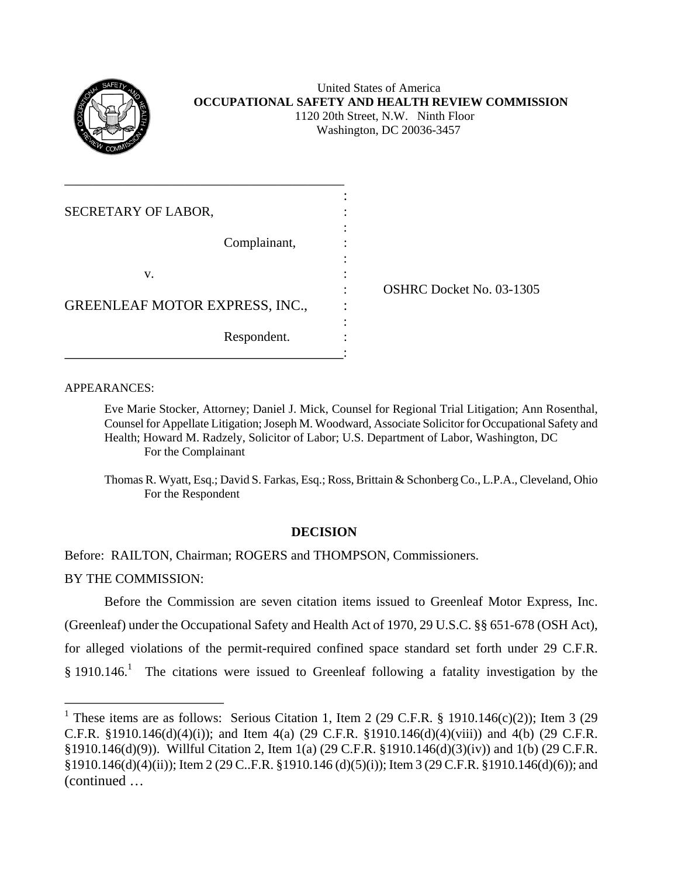

#### United States of America **OCCUPATIONAL SAFETY AND HEALTH REVIEW COMMISSION** 1120 20th Street, N.W. Ninth Floor Washington, DC 20036-3457

| SECRETARY OF LABOR,                   |                                 |
|---------------------------------------|---------------------------------|
| Complainant,                          |                                 |
| v.                                    | <b>OSHRC Docket No. 03-1305</b> |
| <b>GREENLEAF MOTOR EXPRESS, INC.,</b> |                                 |
| Respondent.                           |                                 |

APPEARANCES:

Eve Marie Stocker, Attorney; Daniel J. Mick, Counsel for Regional Trial Litigation; Ann Rosenthal, Counsel for Appellate Litigation; Joseph M. Woodward, Associate Solicitor for Occupational Safety and Health; Howard M. Radzely, Solicitor of Labor; U.S. Department of Labor, Washington, DC For the Complainant

Thomas R. Wyatt, Esq.; David S. Farkas, Esq.; Ross, Brittain & Schonberg Co., L.P.A., Cleveland, Ohio For the Respondent

# **DECISION**

Before: RAILTON, Chairman; ROGERS and THOMPSON, Commissioners.

BY THE COMMISSION:

Before the Commission are seven citation items issued to Greenleaf Motor Express, Inc. (Greenleaf) under the Occupational Safety and Health Act of 1970, 29 U.S.C. §§ 651-678 (OSH Act), for alleged violations of the permit-required confined space standard set forth under 29 C.F.R.  $§$  [1](#page-0-0)910.146.<sup>1</sup> The citations were issued to Greenleaf following a fatality investigation by the

<span id="page-0-0"></span><sup>&</sup>lt;sup>1</sup> These items are as follows: Serious Citation 1, Item 2 (29 C.F.R. § 1910.146(c)(2)); Item 3 (29 C.F.R. §1910.146(d)(4)(i)); and Item 4(a) (29 C.F.R. §1910.146(d)(4)(viii)) and 4(b) (29 C.F.R. §1910.146(d)(9)). Willful Citation 2, Item 1(a) (29 C.F.R. §1910.146(d)(3)(iv)) and 1(b) (29 C.F.R. §1910.146(d)(4)(ii)); Item 2 (29 C..F.R. §1910.146 (d)(5)(i)); Item 3 (29 C.F.R. §1910.146(d)(6)); and (continued …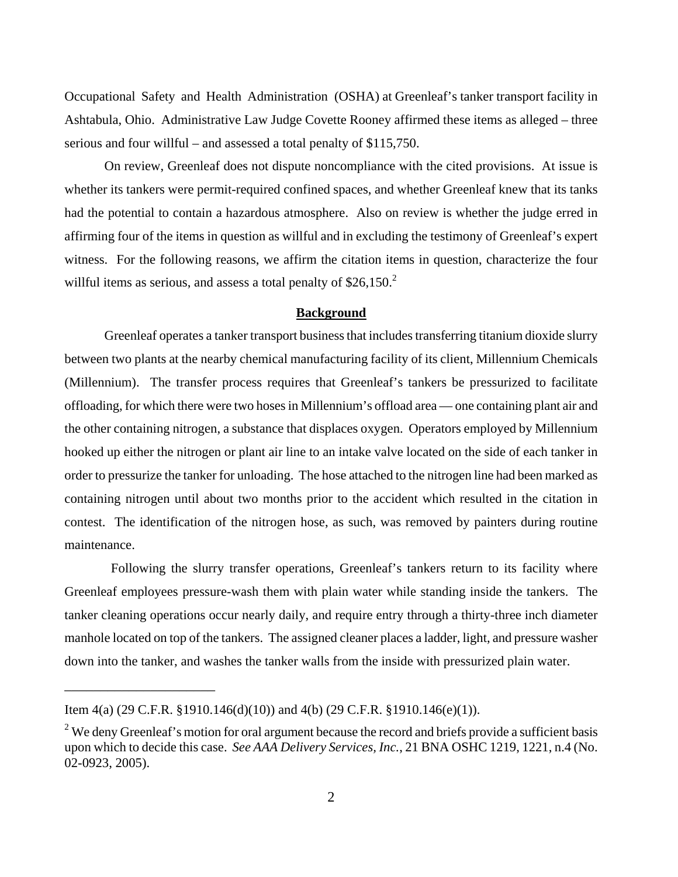Occupational Safety and Health Administration (OSHA) at Greenleaf's tanker transport facility in Ashtabula, Ohio. Administrative Law Judge Covette Rooney affirmed these items as alleged – three serious and four willful – and assessed a total penalty of \$115,750.

On review, Greenleaf does not dispute noncompliance with the cited provisions. At issue is whether its tankers were permit-required confined spaces, and whether Greenleaf knew that its tanks had the potential to contain a hazardous atmosphere. Also on review is whether the judge erred in affirming four of the items in question as willful and in excluding the testimony of Greenleaf's expert witness. For the following reasons, we affirm the citation items in question, characterize the four willful items as serious, and assess a total penalty of  $$26,150.<sup>2</sup>$ 

#### **Background**

Greenleaf operates a tanker transport business that includes transferring titanium dioxide slurry between two plants at the nearby chemical manufacturing facility of its client, Millennium Chemicals (Millennium). The transfer process requires that Greenleaf's tankers be pressurized to facilitate offloading, for which there were two hoses in Millennium's offload area — one containing plant air and the other containing nitrogen, a substance that displaces oxygen. Operators employed by Millennium hooked up either the nitrogen or plant air line to an intake valve located on the side of each tanker in order to pressurize the tanker for unloading. The hose attached to the nitrogen line had been marked as containing nitrogen until about two months prior to the accident which resulted in the citation in contest. The identification of the nitrogen hose, as such, was removed by painters during routine maintenance.

Following the slurry transfer operations, Greenleaf's tankers return to its facility where Greenleaf employees pressure-wash them with plain water while standing inside the tankers. The tanker cleaning operations occur nearly daily, and require entry through a thirty-three inch diameter manhole located on top of the tankers. The assigned cleaner places a ladder, light, and pressure washer down into the tanker, and washes the tanker walls from the inside with pressurized plain water.

\_\_\_\_\_\_\_\_\_\_\_\_\_\_\_\_\_\_\_\_\_

Item 4(a) (29 C.F.R. §1910.146(d)(10)) and 4(b) (29 C.F.R. §1910.146(e)(1)).

<span id="page-1-0"></span> $2^2$  We deny Greenleaf's motion for oral argument because the record and briefs provide a sufficient basis upon which to decide this case. *See AAA Delivery Services, Inc.*, 21 BNA OSHC 1219, 1221, n.4 (No. 02-0923, 2005).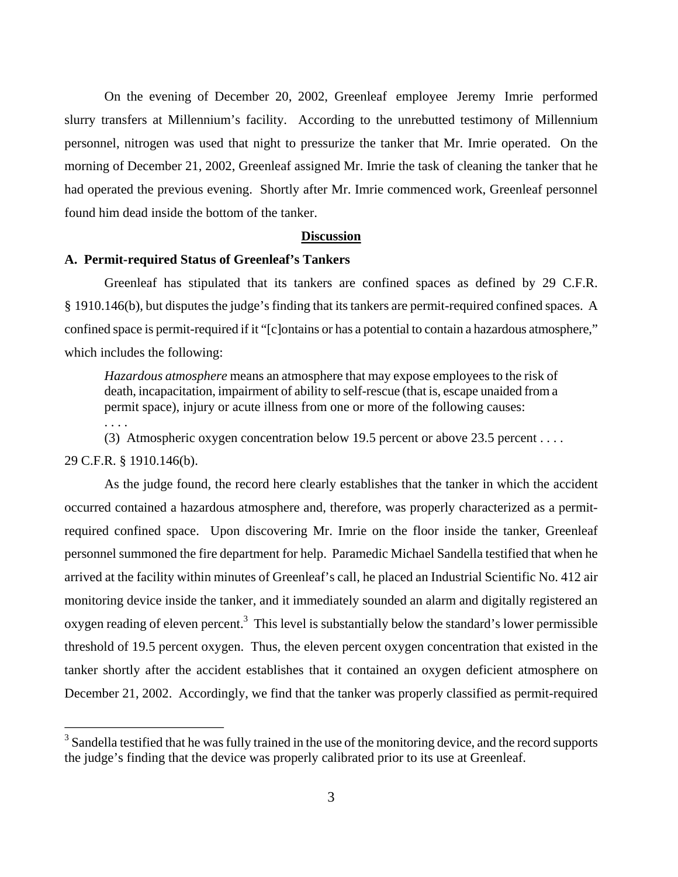On the evening of December 20, 2002, Greenleaf employee Jeremy Imrie performed slurry transfers at Millennium's facility. According to the unrebutted testimony of Millennium personnel, nitrogen was used that night to pressurize the tanker that Mr. Imrie operated. On the morning of December 21, 2002, Greenleaf assigned Mr. Imrie the task of cleaning the tanker that he had operated the previous evening. Shortly after Mr. Imrie commenced work, Greenleaf personnel found him dead inside the bottom of the tanker.

#### **Discussion**

## **A. Permit-required Status of Greenleaf's Tankers**

Greenleaf has stipulated that its tankers are confined spaces as defined by 29 C.F.R. § 1910.146(b), but disputes the judge's finding that its tankers are permit-required confined spaces. A confined space is permit-required if it "[c]ontains or has a potential to contain a hazardous atmosphere," which includes the following:

*Hazardous atmosphere* means an atmosphere that may expose employees to the risk of death, incapacitation, impairment of ability to self-rescue (that is, escape unaided from a permit space), injury or acute illness from one or more of the following causes: . . . .

(3) Atmospheric oxygen concentration below 19.5 percent or above 23.5 percent . . . .

29 C.F.R. § 1910.146(b).

As the judge found, the record here clearly establishes that the tanker in which the accident occurred contained a hazardous atmosphere and, therefore, was properly characterized as a permitrequired confined space. Upon discovering Mr. Imrie on the floor inside the tanker, Greenleaf personnel summoned the fire department for help. Paramedic Michael Sandella testified that when he arrived at the facility within minutes of Greenleaf's call, he placed an Industrial Scientific No. 412 air monitoring device inside the tanker, and it immediately sounded an alarm and digitally registered an oxygen reading of eleven percent.<sup>[3](#page-2-0)</sup> This level is substantially below the standard's lower permissible threshold of 19.5 percent oxygen. Thus, the eleven percent oxygen concentration that existed in the tanker shortly after the accident establishes that it contained an oxygen deficient atmosphere on December 21, 2002. Accordingly, we find that the tanker was properly classified as permit-required

<span id="page-2-0"></span><sup>&</sup>lt;sup>3</sup> Sandella testified that he was fully trained in the use of the monitoring device, and the record supports the judge's finding that the device was properly calibrated prior to its use at Greenleaf.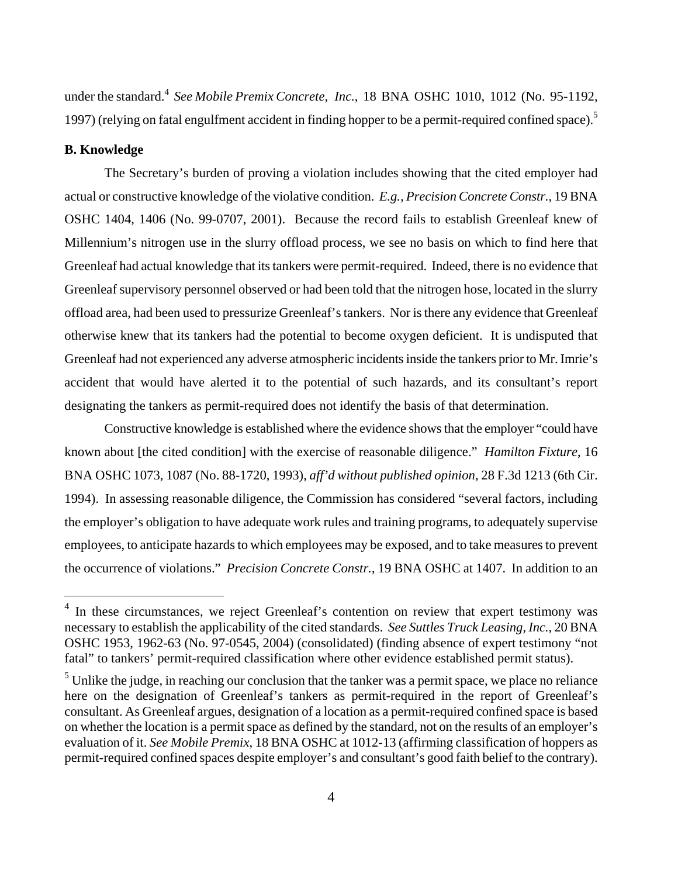under the standard.<sup>4</sup> See Mobile Premix Concrete, Inc., 18 BNA OSHC 1010, 1012 (No. 95-1192, 1997) (relying on fatal engulfment accident in finding hopper to be a permit-required confined space).<sup>5</sup>

#### **B. Knowledge**

The Secretary's burden of proving a violation includes showing that the cited employer had actual or constructive knowledge of the violative condition. *E.g., Precision Concrete Constr.*, 19 BNA OSHC 1404, 1406 (No. 99-0707, 2001). Because the record fails to establish Greenleaf knew of Millennium's nitrogen use in the slurry offload process, we see no basis on which to find here that Greenleaf had actual knowledge that its tankers were permit-required. Indeed, there is no evidence that Greenleaf supervisory personnel observed or had been told that the nitrogen hose, located in the slurry offload area, had been used to pressurize Greenleaf's tankers. Nor is there any evidence that Greenleaf otherwise knew that its tankers had the potential to become oxygen deficient. It is undisputed that Greenleaf had not experienced any adverse atmospheric incidents inside the tankers prior to Mr. Imrie's accident that would have alerted it to the potential of such hazards, and its consultant's report designating the tankers as permit-required does not identify the basis of that determination.

Constructive knowledge is established where the evidence shows that the employer "could have known about [the cited condition] with the exercise of reasonable diligence." *Hamilton Fixture*, 16 BNA OSHC 1073, 1087 (No. 88-1720, 1993), *aff'd without published opinion*, 28 F.3d 1213 (6th Cir. 1994). In assessing reasonable diligence, the Commission has considered "several factors, including the employer's obligation to have adequate work rules and training programs, to adequately supervise employees, to anticipate hazards to which employees may be exposed, and to take measures to prevent the occurrence of violations." *Precision Concrete Constr.*, 19 BNA OSHC at 1407. In addition to an

<span id="page-3-0"></span><sup>&</sup>lt;sup>4</sup> In these circumstances, we reject Greenleaf's contention on review that expert testimony was necessary to establish the applicability of the cited standards. *See Suttles Truck Leasing, Inc.,* 20 BNA OSHC 1953, 1962-63 (No. 97-0545, 2004) (consolidated) (finding absence of expert testimony "not fatal" to tankers' permit-required classification where other evidence established permit status).

<span id="page-3-1"></span> $<sup>5</sup>$  Unlike the judge, in reaching our conclusion that the tanker was a permit space, we place no reliance</sup> here on the designation of Greenleaf's tankers as permit-required in the report of Greenleaf's consultant. As Greenleaf argues, designation of a location as a permit-required confined space is based on whether the location is a permit space as defined by the standard, not on the results of an employer's evaluation of it. *See Mobile Premix*, 18 BNA OSHC at 1012-13 (affirming classification of hoppers as permit-required confined spaces despite employer's and consultant's good faith belief to the contrary).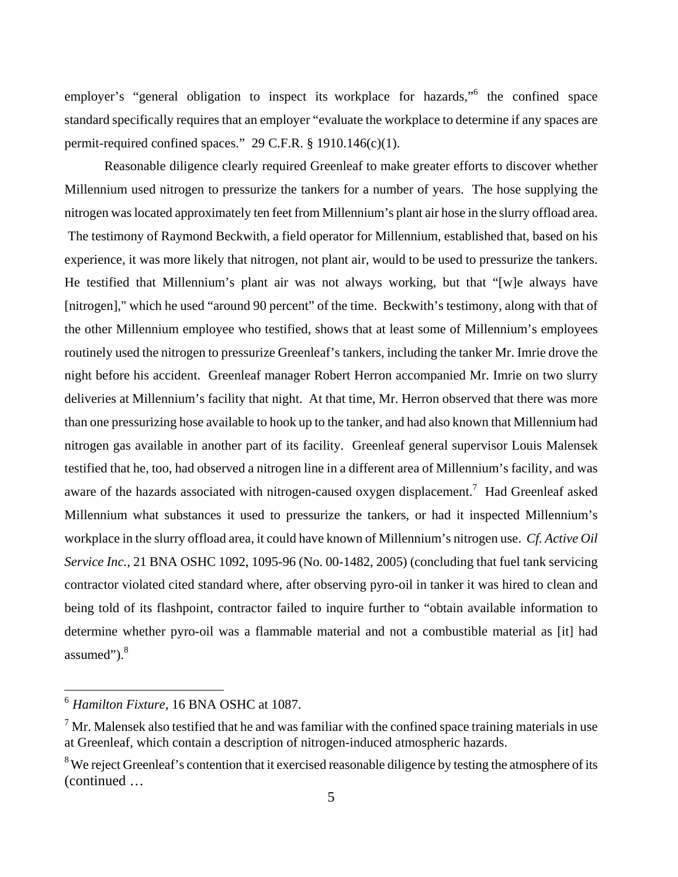employer's "general obligation to inspect its workplace for hazards," the confined space standard specifically requires that an employer "evaluate the workplace to determine if any spaces are permit-required confined spaces." 29 C.F.R. § 1910.146(c)(1).

Reasonable diligence clearly required Greenleaf to make greater efforts to discover whether Millennium used nitrogen to pressurize the tankers for a number of years. The hose supplying the nitrogen was located approximately ten feet from Millennium's plant air hose in the slurry offload area. The testimony of Raymond Beckwith, a field operator for Millennium, established that, based on his experience, it was more likely that nitrogen, not plant air, would to be used to pressurize the tankers. He testified that Millennium's plant air was not always working, but that "[w]e always have [nitrogen]," which he used "around 90 percent" of the time. Beckwith's testimony, along with that of the other Millennium employee who testified, shows that at least some of Millennium's employees routinely used the nitrogen to pressurize Greenleaf's tankers, including the tanker Mr. Imrie drove the night before his accident. Greenleaf manager Robert Herron accompanied Mr. Imrie on two slurry deliveries at Millennium's facility that night. At that time, Mr. Herron observed that there was more than one pressurizing hose available to hook up to the tanker, and had also known that Millennium had nitrogen gas available in another part of its facility. Greenleaf general supervisor Louis Malensek testified that he, too, had observed a nitrogen line in a different area of Millennium's facility, and was aware of the hazards associated with nitrogen-caused oxygen displacement.<sup>[7](#page-4-1)</sup> Had Greenleaf asked Millennium what substances it used to pressurize the tankers, or had it inspected Millennium's workplace in the slurry offload area, it could have known of Millennium's nitrogen use. *Cf. Active Oil Service Inc.,* 21 BNA OSHC 1092, 1095-96 (No. 00-1482, 2005) (concluding that fuel tank servicing contractor violated cited standard where, after observing pyro-oil in tanker it was hired to clean and being told of its flashpoint, contractor failed to inquire further to "obtain available information to determine whether pyro-oil was a flammable material and not a combustible material as [it] had assumed"). $8$ 

<span id="page-4-0"></span><sup>6</sup>*Hamilton Fixture*, 16 BNA OSHC at 1087.

<span id="page-4-1"></span> $<sup>7</sup>$  Mr. Malensek also testified that he and was familiar with the confined space training materials in use</sup> at Greenleaf, which contain a description of nitrogen-induced atmospheric hazards.

<span id="page-4-2"></span><sup>&</sup>lt;sup>8</sup>We reject Greenleaf's contention that it exercised reasonable diligence by testing the atmosphere of its (continued …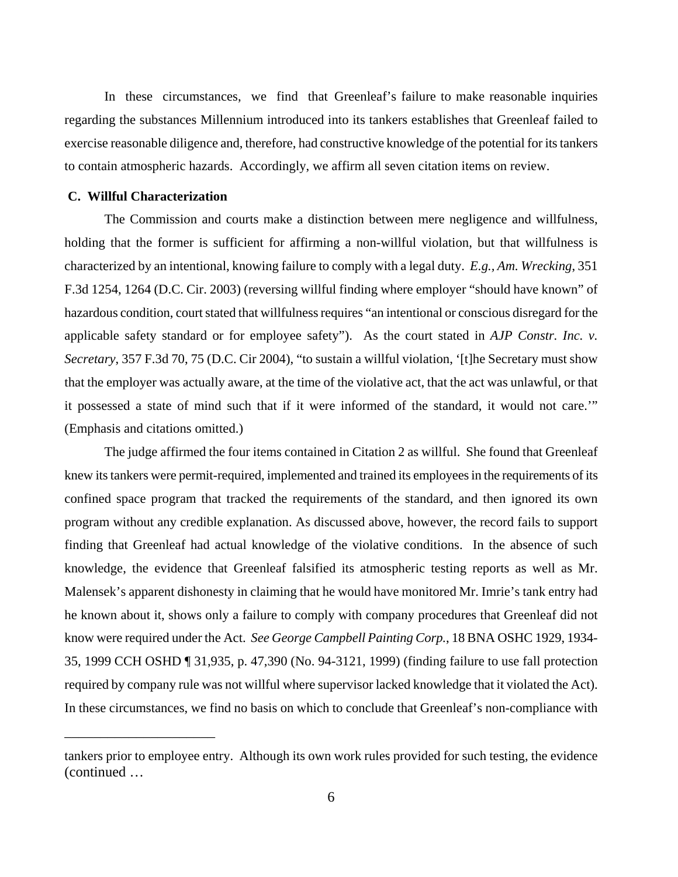In these circumstances, we find that Greenleaf's failure to make reasonable inquiries regarding the substances Millennium introduced into its tankers establishes that Greenleaf failed to exercise reasonable diligence and, therefore, had constructive knowledge of the potential for its tankers to contain atmospheric hazards. Accordingly, we affirm all seven citation items on review.

#### **C. Willful Characterization**

\_\_\_\_\_\_\_\_\_\_\_\_\_\_\_\_\_\_\_\_\_

The Commission and courts make a distinction between mere negligence and willfulness, holding that the former is sufficient for affirming a non-willful violation, but that willfulness is characterized by an intentional, knowing failure to comply with a legal duty. *E.g., Am. Wrecking*, 351 F.3d 1254, 1264 (D.C. Cir. 2003) (reversing willful finding where employer "should have known" of hazardous condition, court stated that willfulness requires "an intentional or conscious disregard for the applicable safety standard or for employee safety"). As the court stated in *AJP Constr. Inc. v. Secretary*, 357 F.3d 70, 75 (D.C. Cir 2004), "to sustain a willful violation, '[t]he Secretary must show that the employer was actually aware, at the time of the violative act, that the act was unlawful, or that it possessed a state of mind such that if it were informed of the standard, it would not care.'" (Emphasis and citations omitted.)

The judge affirmed the four items contained in Citation 2 as willful. She found that Greenleaf knew its tankers were permit-required, implemented and trained its employees in the requirements of its confined space program that tracked the requirements of the standard, and then ignored its own program without any credible explanation. As discussed above, however, the record fails to support finding that Greenleaf had actual knowledge of the violative conditions. In the absence of such knowledge, the evidence that Greenleaf falsified its atmospheric testing reports as well as Mr. Malensek's apparent dishonesty in claiming that he would have monitored Mr. Imrie's tank entry had he known about it, shows only a failure to comply with company procedures that Greenleaf did not know were required under the Act. *See George Campbell Painting Corp.*, 18 BNA OSHC 1929, 1934 35, 1999 CCH OSHD ¶ 31,935, p. 47,390 (No. 94-3121, 1999) (finding failure to use fall protection required by company rule was not willful where supervisor lacked knowledge that it violated the Act). In these circumstances, we find no basis on which to conclude that Greenleaf's non-compliance with

tankers prior to employee entry. Although its own work rules provided for such testing, the evidence (continued …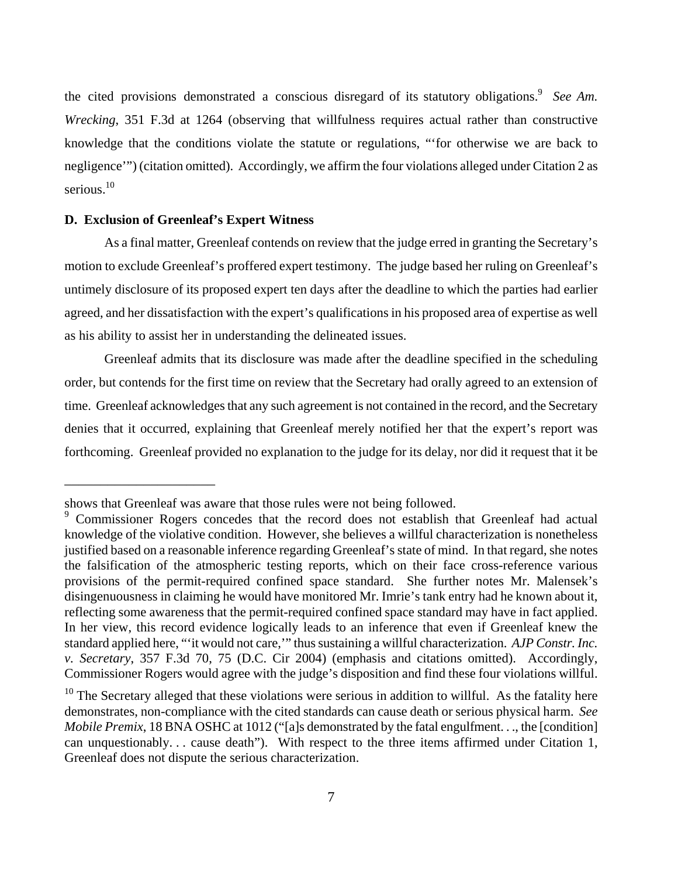the cited provisions demonstrated a conscious disregard of its statutory obligations.<sup>9</sup> See Am. *Wrecking*, 351 F.3d at 1264 (observing that willfulness requires actual rather than constructive knowledge that the conditions violate the statute or regulations, "'for otherwise we are back to negligence'") (citation omitted). Accordingly, we affirm the four violations alleged under Citation 2 as serious.<sup>10</sup>

#### **D. Exclusion of Greenleaf's Expert Witness**

\_\_\_\_\_\_\_\_\_\_\_\_\_\_\_\_\_\_\_\_\_

As a final matter, Greenleaf contends on review that the judge erred in granting the Secretary's motion to exclude Greenleaf's proffered expert testimony. The judge based her ruling on Greenleaf's untimely disclosure of its proposed expert ten days after the deadline to which the parties had earlier agreed, and her dissatisfaction with the expert's qualifications in his proposed area of expertise as well as his ability to assist her in understanding the delineated issues.

Greenleaf admits that its disclosure was made after the deadline specified in the scheduling order, but contends for the first time on review that the Secretary had orally agreed to an extension of time. Greenleaf acknowledges that any such agreement is not contained in the record, and the Secretary denies that it occurred, explaining that Greenleaf merely notified her that the expert's report was forthcoming. Greenleaf provided no explanation to the judge for its delay, nor did it request that it be

shows that Greenleaf was aware that those rules were not being followed.

<span id="page-6-0"></span><sup>&</sup>lt;sup>9</sup> Commissioner Rogers concedes that the record does not establish that Greenleaf had actual knowledge of the violative condition. However, she believes a willful characterization is nonetheless justified based on a reasonable inference regarding Greenleaf's state of mind. In that regard, she notes the falsification of the atmospheric testing reports, which on their face cross-reference various provisions of the permit-required confined space standard. She further notes Mr. Malensek's disingenuousness in claiming he would have monitored Mr. Imrie's tank entry had he known about it, reflecting some awareness that the permit-required confined space standard may have in fact applied. In her view, this record evidence logically leads to an inference that even if Greenleaf knew the standard applied here, "'it would not care,'" thus sustaining a willful characterization. *AJP Constr. Inc. v. Secretary*, 357 F.3d 70, 75 (D.C. Cir 2004) (emphasis and citations omitted). Accordingly, Commissioner Rogers would agree with the judge's disposition and find these four violations willful.

<span id="page-6-1"></span> $10$  The Secretary alleged that these violations were serious in addition to willful. As the fatality here demonstrates, non-compliance with the cited standards can cause death or serious physical harm. *See Mobile Premix*, 18 BNA OSHC at 1012 ("[a]s demonstrated by the fatal engulfment. . ., the [condition] can unquestionably. . . cause death"). With respect to the three items affirmed under Citation 1, Greenleaf does not dispute the serious characterization.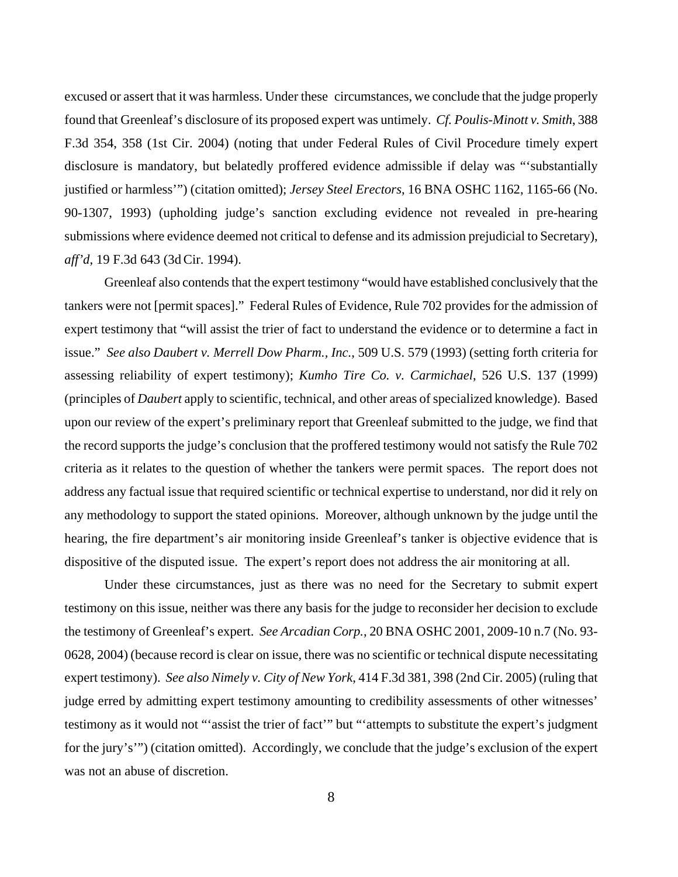excused or assert that it was harmless. Under these circumstances, we conclude that the judge properly found that Greenleaf's disclosure of its proposed expert was untimely. *Cf. Poulis-Minott v. Smith*, 388 F.3d 354, 358 (1st Cir. 2004) (noting that under Federal Rules of Civil Procedure timely expert disclosure is mandatory, but belatedly proffered evidence admissible if delay was "'substantially justified or harmless'") (citation omitted); *Jersey Steel Erectors*, 16 BNA OSHC 1162, 1165-66 (No. 90-1307, 1993) (upholding judge's sanction excluding evidence not revealed in pre-hearing submissions where evidence deemed not critical to defense and its admission prejudicial to Secretary), *aff'd*, 19 F.3d 643 (3d Cir. 1994).

Greenleaf also contends that the expert testimony "would have established conclusively that the tankers were not [permit spaces]." Federal Rules of Evidence, Rule 702 provides for the admission of expert testimony that "will assist the trier of fact to understand the evidence or to determine a fact in issue." *See also Daubert v. Merrell Dow Pharm., Inc.*, 509 U.S. 579 (1993) (setting forth criteria for assessing reliability of expert testimony); *Kumho Tire Co. v. Carmichael*, 526 U.S. 137 (1999) (principles of *Daubert* apply to scientific, technical, and other areas of specialized knowledge). Based upon our review of the expert's preliminary report that Greenleaf submitted to the judge, we find that the record supports the judge's conclusion that the proffered testimony would not satisfy the Rule 702 criteria as it relates to the question of whether the tankers were permit spaces. The report does not address any factual issue that required scientific or technical expertise to understand, nor did it rely on any methodology to support the stated opinions. Moreover, although unknown by the judge until the hearing, the fire department's air monitoring inside Greenleaf's tanker is objective evidence that is dispositive of the disputed issue. The expert's report does not address the air monitoring at all.

Under these circumstances, just as there was no need for the Secretary to submit expert testimony on this issue, neither was there any basis for the judge to reconsider her decision to exclude the testimony of Greenleaf's expert. *See Arcadian Corp.*, 20 BNA OSHC 2001, 2009-10 n.7 (No. 93 0628, 2004) (because record is clear on issue, there was no scientific or technical dispute necessitating expert testimony). *See also Nimely v. City of New York*, 414 F.3d 381, 398 (2nd Cir. 2005) (ruling that judge erred by admitting expert testimony amounting to credibility assessments of other witnesses' testimony as it would not "'assist the trier of fact'" but "'attempts to substitute the expert's judgment for the jury's'") (citation omitted). Accordingly, we conclude that the judge's exclusion of the expert was not an abuse of discretion.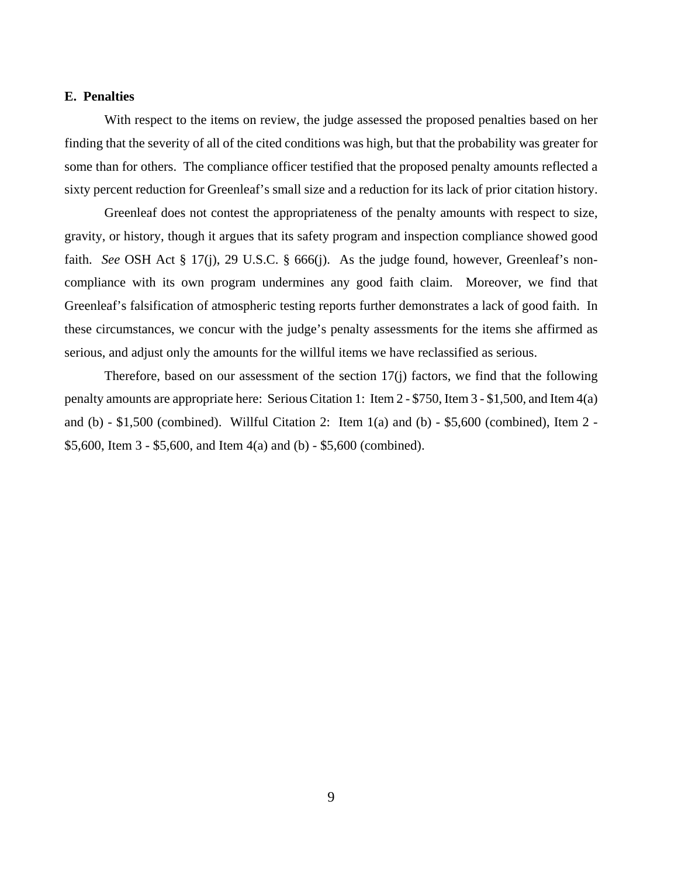#### **E. Penalties**

With respect to the items on review, the judge assessed the proposed penalties based on her finding that the severity of all of the cited conditions was high, but that the probability was greater for some than for others. The compliance officer testified that the proposed penalty amounts reflected a sixty percent reduction for Greenleaf's small size and a reduction for its lack of prior citation history.

Greenleaf does not contest the appropriateness of the penalty amounts with respect to size, gravity, or history, though it argues that its safety program and inspection compliance showed good faith. *See* OSH Act § 17(j), 29 U.S.C. § 666(j). As the judge found, however, Greenleaf's noncompliance with its own program undermines any good faith claim. Moreover, we find that Greenleaf's falsification of atmospheric testing reports further demonstrates a lack of good faith. In these circumstances, we concur with the judge's penalty assessments for the items she affirmed as serious, and adjust only the amounts for the willful items we have reclassified as serious.

Therefore, based on our assessment of the section 17(j) factors, we find that the following penalty amounts are appropriate here: Serious Citation 1: Item 2 - \$750, Item 3 - \$1,500, and Item 4(a) and (b) - \$1,500 (combined). Willful Citation 2: Item 1(a) and (b) - \$5,600 (combined), Item 2 - \$5,600, Item 3 - \$5,600, and Item 4(a) and (b) - \$5,600 (combined).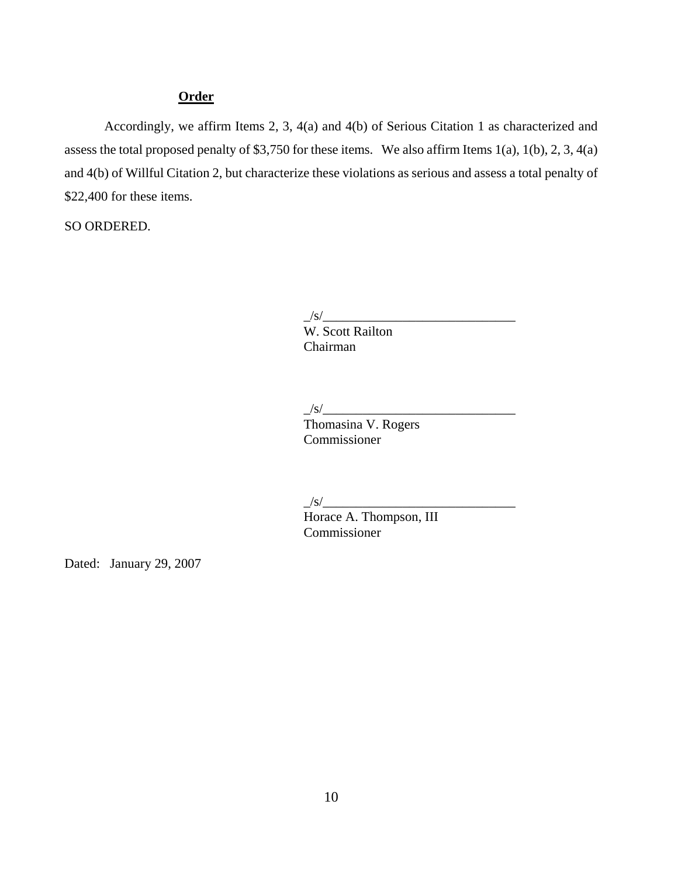# **Order**

Accordingly, we affirm Items 2, 3, 4(a) and 4(b) of Serious Citation 1 as characterized and assess the total proposed penalty of \$3,750 for these items. We also affirm Items 1(a), 1(b), 2, 3, 4(a) and 4(b) of Willful Citation 2, but characterize these violations as serious and assess a total penalty of \$22,400 for these items.

SO ORDERED.

 $\frac{1}{s}$ /s/ $\frac{1}{s}$ 

 W. Scott Railton Chairman

# $\frac{1}{s}$ /s/ $\frac{1}{s}$

 Thomasina V. Rogers Commissioner

 $\frac{1}{s}$ /s/ $\frac{1}{s}$ 

 Horace A. Thompson, III Commissioner

Dated: January 29, 2007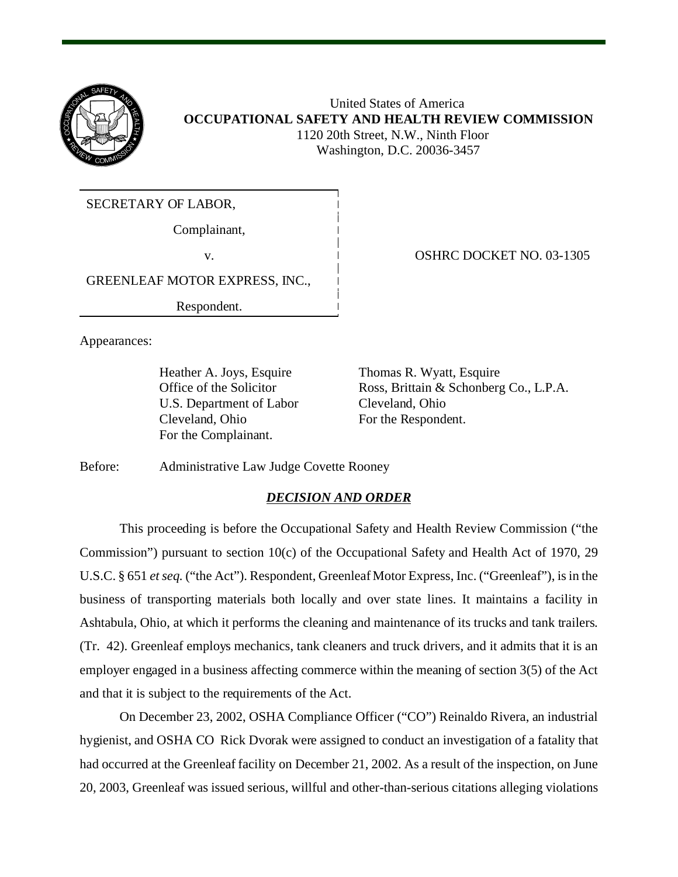

 United States of America **OCCUPATIONAL SAFETY AND HEALTH REVIEW COMMISSION** 1120 20th Street, N.W., Ninth Floor Washington, D.C. 20036-3457

SECRETARY OF LABOR,

Complainant,

GREENLEAF MOTOR EXPRESS, INC.,

Respondent.

Appearances:

U.S. Department of Labor Cleveland, Ohio Cleveland, Ohio For the Respondent. For the Complainant.

v. 03-1305

Heather A. Joys, Esquire Thomas R. Wyatt, Esquire Office of the Solicitor Ross, Brittain & Schonberg Co., L.P.A.

Before: Administrative Law Judge Covette Rooney

# *DECISION AND ORDER*

This proceeding is before the Occupational Safety and Health Review Commission ("the Commission") pursuant to section 10(c) of the Occupational Safety and Health Act of 1970, 29 U.S.C. § 651 *et seq.* ("the Act"). Respondent, Greenleaf Motor Express, Inc. ("Greenleaf"), is in the business of transporting materials both locally and over state lines. It maintains a facility in Ashtabula, Ohio, at which it performs the cleaning and maintenance of its trucks and tank trailers. (Tr. 42). Greenleaf employs mechanics, tank cleaners and truck drivers, and it admits that it is an employer engaged in a business affecting commerce within the meaning of section 3(5) of the Act and that it is subject to the requirements of the Act.

On December 23, 2002, OSHA Compliance Officer ("CO") Reinaldo Rivera, an industrial hygienist, and OSHA CO Rick Dvorak were assigned to conduct an investigation of a fatality that had occurred at the Greenleaf facility on December 21, 2002. As a result of the inspection, on June 20, 2003, Greenleaf was issued serious, willful and other-than-serious citations alleging violations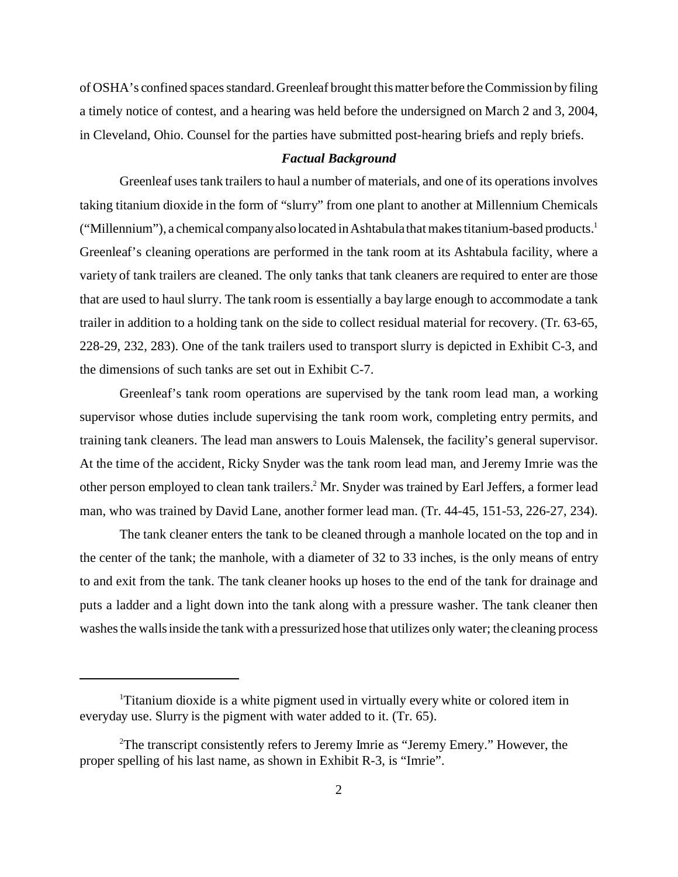of OSHA's confined spaces standard. Greenleaf brought this matter before the Commission by filing a timely notice of contest, and a hearing was held before the undersigned on March 2 and 3, 2004, in Cleveland, Ohio. Counsel for the parties have submitted post-hearing briefs and reply briefs.

#### *Factual Background*

Greenleaf uses tank trailers to haul a number of materials, and one of its operations involves taking titanium dioxide in the form of "slurry" from one plant to another at Millennium Chemicals ("Millennium"), a chemical company also located in Ashtabula that makes titanium-based products.<sup>1</sup> Greenleaf's cleaning operations are performed in the tank room at its Ashtabula facility, where a variety of tank trailers are cleaned. The only tanks that tank cleaners are required to enter are those that are used to haul slurry. The tank room is essentially a bay large enough to accommodate a tank trailer in addition to a holding tank on the side to collect residual material for recovery. (Tr. 63-65, 228-29, 232, 283). One of the tank trailers used to transport slurry is depicted in Exhibit C-3, and the dimensions of such tanks are set out in Exhibit C-7.

Greenleaf's tank room operations are supervised by the tank room lead man, a working supervisor whose duties include supervising the tank room work, completing entry permits, and training tank cleaners. The lead man answers to Louis Malensek, the facility's general supervisor. At the time of the accident, Ricky Snyder was the tank room lead man, and Jeremy Imrie was the other person employed to clean tank trailers.<sup>2</sup> Mr. Snyder was trained by Earl Jeffers, a former lead man, who was trained by David Lane, another former lead man. (Tr. 44-45, 151-53, 226-27, 234).

The tank cleaner enters the tank to be cleaned through a manhole located on the top and in the center of the tank; the manhole, with a diameter of 32 to 33 inches, is the only means of entry to and exit from the tank. The tank cleaner hooks up hoses to the end of the tank for drainage and puts a ladder and a light down into the tank along with a pressure washer. The tank cleaner then washes the walls inside the tank with a pressurized hose that utilizes only water; the cleaning process

<sup>&</sup>lt;sup>1</sup>Titanium dioxide is a white pigment used in virtually every white or colored item in everyday use. Slurry is the pigment with water added to it. (Tr. 65).

<sup>&</sup>lt;sup>2</sup>The transcript consistently refers to Jeremy Imrie as "Jeremy Emery." However, the proper spelling of his last name, as shown in Exhibit R-3, is "Imrie".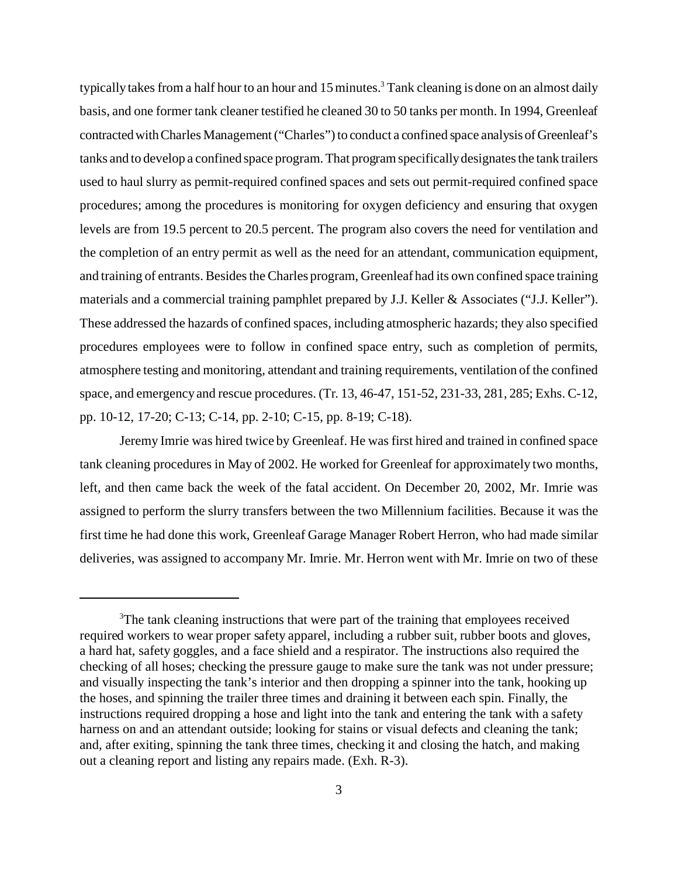typically takes from a half hour to an hour and  $15$  minutes.<sup>3</sup> Tank cleaning is done on an almost daily basis, and one former tank cleaner testified he cleaned 30 to 50 tanks per month. In 1994, Greenleaf contracted with Charles Management ("Charles") to conduct a confined space analysis of Greenleaf's tanks and to develop a confined space program. That program specifically designates the tank trailers used to haul slurry as permit-required confined spaces and sets out permit-required confined space procedures; among the procedures is monitoring for oxygen deficiency and ensuring that oxygen levels are from 19.5 percent to 20.5 percent. The program also covers the need for ventilation and the completion of an entry permit as well as the need for an attendant, communication equipment, and training of entrants. Besides the Charles program, Greenleaf had its own confined space training materials and a commercial training pamphlet prepared by J.J. Keller & Associates ("J.J. Keller"). These addressed the hazards of confined spaces, including atmospheric hazards; they also specified procedures employees were to follow in confined space entry, such as completion of permits, atmosphere testing and monitoring, attendant and training requirements, ventilation of the confined space, and emergency and rescue procedures. (Tr. 13, 46-47, 151-52, 231-33, 281, 285; Exhs. C-12, pp. 10-12, 17-20; C-13; C-14, pp. 2-10; C-15, pp. 8-19; C-18).

Jeremy Imrie was hired twice by Greenleaf. He was first hired and trained in confined space tank cleaning procedures in May of 2002. He worked for Greenleaf for approximately two months, left, and then came back the week of the fatal accident. On December 20, 2002, Mr. Imrie was assigned to perform the slurry transfers between the two Millennium facilities. Because it was the first time he had done this work, Greenleaf Garage Manager Robert Herron, who had made similar deliveries, was assigned to accompany Mr. Imrie. Mr. Herron went with Mr. Imrie on two of these

<sup>&</sup>lt;sup>3</sup>The tank cleaning instructions that were part of the training that employees received required workers to wear proper safety apparel, including a rubber suit, rubber boots and gloves, a hard hat, safety goggles, and a face shield and a respirator. The instructions also required the checking of all hoses; checking the pressure gauge to make sure the tank was not under pressure; and visually inspecting the tank's interior and then dropping a spinner into the tank, hooking up the hoses, and spinning the trailer three times and draining it between each spin. Finally, the instructions required dropping a hose and light into the tank and entering the tank with a safety harness on and an attendant outside; looking for stains or visual defects and cleaning the tank; and, after exiting, spinning the tank three times, checking it and closing the hatch, and making out a cleaning report and listing any repairs made. (Exh. R-3).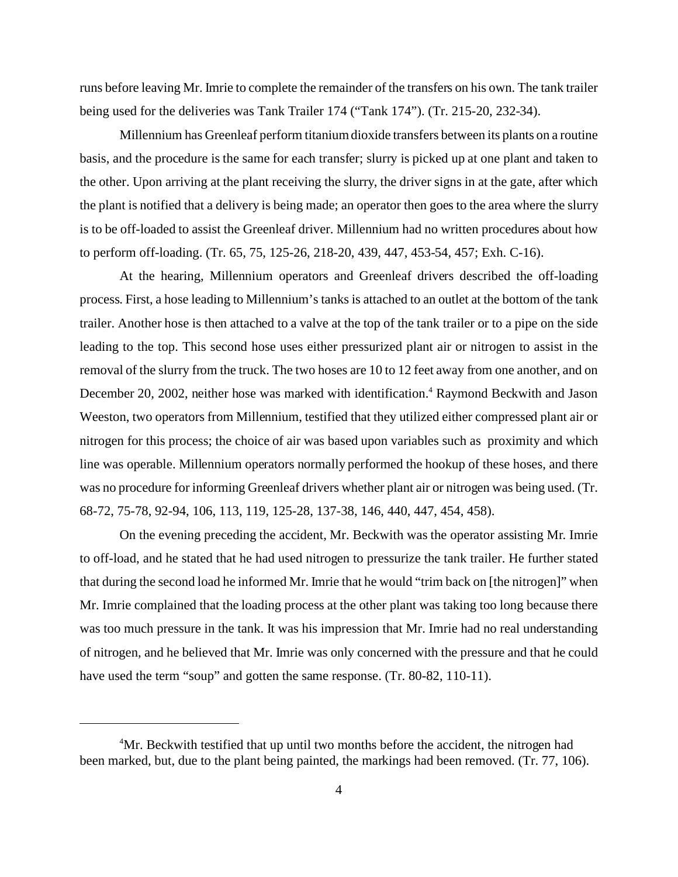runs before leaving Mr. Imrie to complete the remainder of the transfers on his own. The tank trailer being used for the deliveries was Tank Trailer 174 ("Tank 174"). (Tr. 215-20, 232-34).

Millennium has Greenleaf perform titanium dioxide transfers between its plants on a routine basis, and the procedure is the same for each transfer; slurry is picked up at one plant and taken to the other. Upon arriving at the plant receiving the slurry, the driver signs in at the gate, after which the plant is notified that a delivery is being made; an operator then goes to the area where the slurry is to be off-loaded to assist the Greenleaf driver. Millennium had no written procedures about how to perform off-loading. (Tr. 65, 75, 125-26, 218-20, 439, 447, 453-54, 457; Exh. C-16).

At the hearing, Millennium operators and Greenleaf drivers described the off-loading process. First, a hose leading to Millennium's tanks is attached to an outlet at the bottom of the tank trailer. Another hose is then attached to a valve at the top of the tank trailer or to a pipe on the side leading to the top. This second hose uses either pressurized plant air or nitrogen to assist in the removal of the slurry from the truck. The two hoses are 10 to 12 feet away from one another, and on December 20, 2002, neither hose was marked with identification.<sup>4</sup> Raymond Beckwith and Jason Weeston, two operators from Millennium, testified that they utilized either compressed plant air or nitrogen for this process; the choice of air was based upon variables such as proximity and which line was operable. Millennium operators normally performed the hookup of these hoses, and there was no procedure for informing Greenleaf drivers whether plant air or nitrogen was being used. (Tr. 68-72, 75-78, 92-94, 106, 113, 119, 125-28, 137-38, 146, 440, 447, 454, 458).

On the evening preceding the accident, Mr. Beckwith was the operator assisting Mr. Imrie to off-load, and he stated that he had used nitrogen to pressurize the tank trailer. He further stated that during the second load he informed Mr. Imrie that he would "trim back on [the nitrogen]" when Mr. Imrie complained that the loading process at the other plant was taking too long because there was too much pressure in the tank. It was his impression that Mr. Imrie had no real understanding of nitrogen, and he believed that Mr. Imrie was only concerned with the pressure and that he could have used the term "soup" and gotten the same response. (Tr. 80-82, 110-11).

<sup>&</sup>lt;sup>4</sup>Mr. Beckwith testified that up until two months before the accident, the nitrogen had been marked, but, due to the plant being painted, the markings had been removed. (Tr. 77, 106).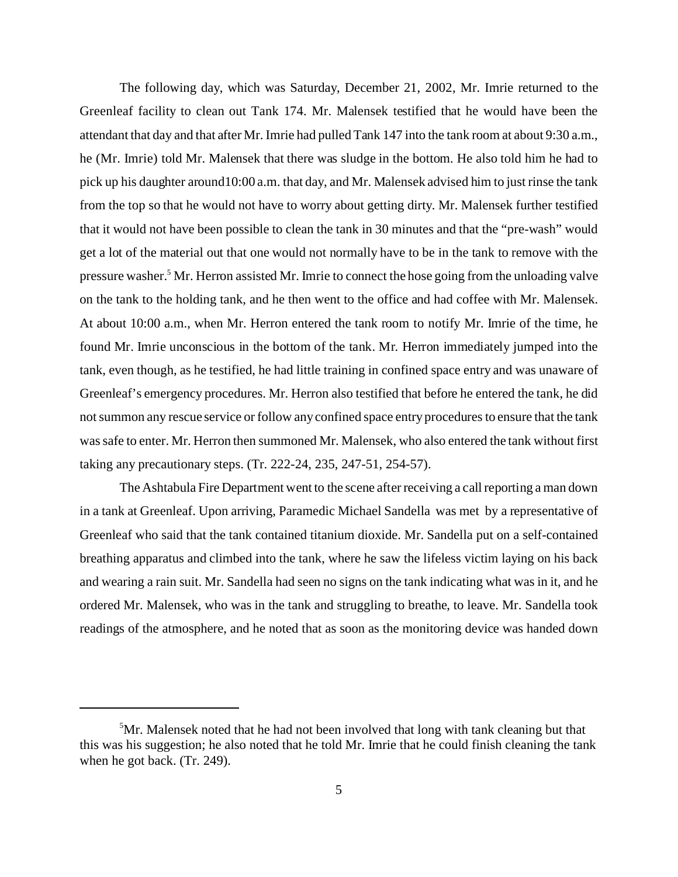The following day, which was Saturday, December 21, 2002, Mr. Imrie returned to the Greenleaf facility to clean out Tank 174. Mr. Malensek testified that he would have been the attendant that day and that after Mr. Imrie had pulled Tank 147 into the tank room at about 9:30 a.m., he (Mr. Imrie) told Mr. Malensek that there was sludge in the bottom. He also told him he had to pick up his daughter around10:00 a.m. that day, and Mr. Malensek advised him to just rinse the tank from the top so that he would not have to worry about getting dirty. Mr. Malensek further testified that it would not have been possible to clean the tank in 30 minutes and that the "pre-wash" would get a lot of the material out that one would not normally have to be in the tank to remove with the pressure washer.<sup>5</sup> Mr. Herron assisted Mr. Imrie to connect the hose going from the unloading valve on the tank to the holding tank, and he then went to the office and had coffee with Mr. Malensek. At about 10:00 a.m., when Mr. Herron entered the tank room to notify Mr. Imrie of the time, he found Mr. Imrie unconscious in the bottom of the tank. Mr. Herron immediately jumped into the tank, even though, as he testified, he had little training in confined space entry and was unaware of Greenleaf's emergency procedures. Mr. Herron also testified that before he entered the tank, he did not summon any rescue service or follow any confined space entry procedures to ensure that the tank was safe to enter. Mr. Herron then summoned Mr. Malensek, who also entered the tank without first taking any precautionary steps. (Tr. 222-24, 235, 247-51, 254-57).

The Ashtabula Fire Department went to the scene after receiving a call reporting a man down in a tank at Greenleaf. Upon arriving, Paramedic Michael Sandella was met by a representative of Greenleaf who said that the tank contained titanium dioxide. Mr. Sandella put on a self-contained breathing apparatus and climbed into the tank, where he saw the lifeless victim laying on his back and wearing a rain suit. Mr. Sandella had seen no signs on the tank indicating what was in it, and he ordered Mr. Malensek, who was in the tank and struggling to breathe, to leave. Mr. Sandella took readings of the atmosphere, and he noted that as soon as the monitoring device was handed down

<sup>&</sup>lt;sup>5</sup>Mr. Malensek noted that he had not been involved that long with tank cleaning but that this was his suggestion; he also noted that he told Mr. Imrie that he could finish cleaning the tank when he got back. (Tr. 249).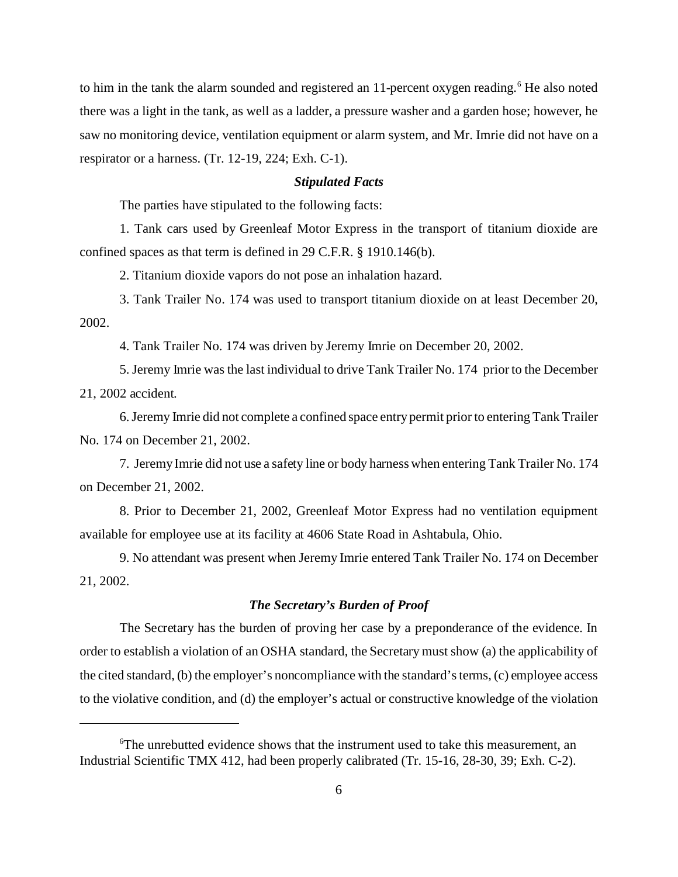to him in the tank the alarm sounded and registered an 11-percent oxygen reading.<sup>6</sup> He also noted there was a light in the tank, as well as a ladder, a pressure washer and a garden hose; however, he saw no monitoring device, ventilation equipment or alarm system, and Mr. Imrie did not have on a respirator or a harness. (Tr. 12-19, 224; Exh. C-1).

#### *Stipulated Facts*

The parties have stipulated to the following facts:

1. Tank cars used by Greenleaf Motor Express in the transport of titanium dioxide are confined spaces as that term is defined in 29 C.F.R. § 1910.146(b).

2. Titanium dioxide vapors do not pose an inhalation hazard.

3. Tank Trailer No. 174 was used to transport titanium dioxide on at least December 20, 2002.

4. Tank Trailer No. 174 was driven by Jeremy Imrie on December 20, 2002.

5. Jeremy Imrie was the last individual to drive Tank Trailer No. 174 prior to the December 21, 2002 accident.

6.Jeremy Imrie did not complete a confined space entry permit prior to entering Tank Trailer No. 174 on December 21, 2002.

7. Jeremy Imrie did not use a safety line or body harness when entering Tank Trailer No. 174 on December 21, 2002.

8. Prior to December 21, 2002, Greenleaf Motor Express had no ventilation equipment available for employee use at its facility at 4606 State Road in Ashtabula, Ohio.

9. No attendant was present when Jeremy Imrie entered Tank Trailer No. 174 on December 21, 2002.

## *The Secretary's Burden of Proof*

The Secretary has the burden of proving her case by a preponderance of the evidence. In order to establish a violation of an OSHA standard, the Secretary must show (a) the applicability of the cited standard, (b) the employer's noncompliance with the standard's terms, (c) employee access to the violative condition, and (d) the employer's actual or constructive knowledge of the violation

<sup>6</sup> The unrebutted evidence shows that the instrument used to take this measurement, an Industrial Scientific TMX 412, had been properly calibrated (Tr. 15-16, 28-30, 39; Exh. C-2).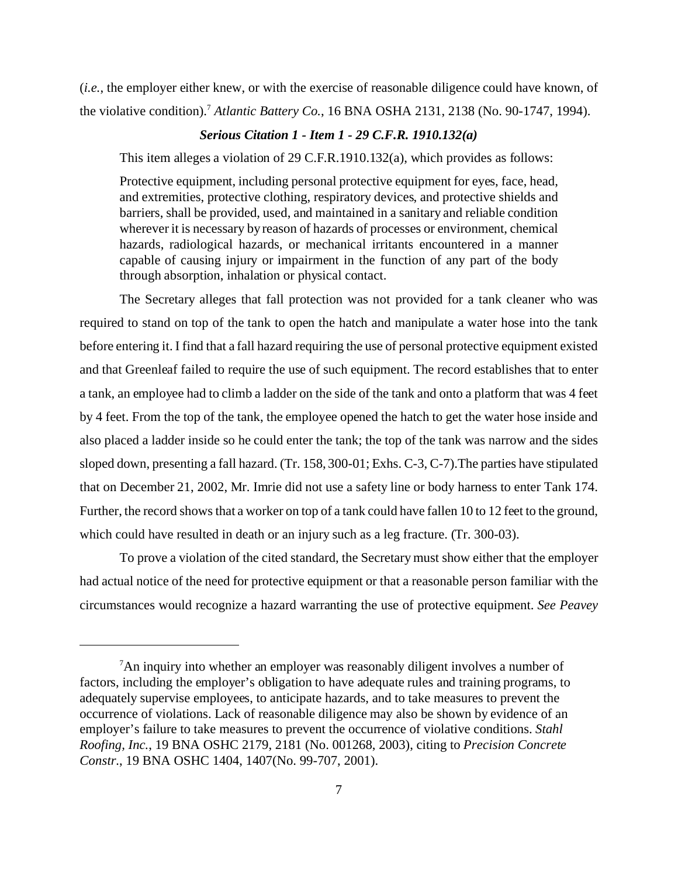(*i.e.*, the employer either knew, or with the exercise of reasonable diligence could have known, of the violative condition).7 *Atlantic Battery Co.*, 16 BNA OSHA 2131, 2138 (No. 90-1747, 1994).

#### *Serious Citation 1 - Item 1 - 29 C.F.R. 1910.132(a)*

This item alleges a violation of 29 C.F.R.1910.132(a), which provides as follows:

Protective equipment, including personal protective equipment for eyes, face, head, and extremities, protective clothing, respiratory devices, and protective shields and barriers, shall be provided, used, and maintained in a sanitary and reliable condition wherever it is necessary by reason of hazards of processes or environment, chemical hazards, radiological hazards, or mechanical irritants encountered in a manner capable of causing injury or impairment in the function of any part of the body through absorption, inhalation or physical contact.

The Secretary alleges that fall protection was not provided for a tank cleaner who was required to stand on top of the tank to open the hatch and manipulate a water hose into the tank before entering it. I find that a fall hazard requiring the use of personal protective equipment existed and that Greenleaf failed to require the use of such equipment. The record establishes that to enter a tank, an employee had to climb a ladder on the side of the tank and onto a platform that was 4 feet by 4 feet. From the top of the tank, the employee opened the hatch to get the water hose inside and also placed a ladder inside so he could enter the tank; the top of the tank was narrow and the sides sloped down, presenting a fall hazard. (Tr. 158, 300-01; Exhs. C-3, C-7).The parties have stipulated that on December 21, 2002, Mr. Imrie did not use a safety line or body harness to enter Tank 174. Further, the record shows that a worker on top of a tank could have fallen 10 to 12 feet to the ground, which could have resulted in death or an injury such as a leg fracture. (Tr. 300-03).

To prove a violation of the cited standard, the Secretary must show either that the employer had actual notice of the need for protective equipment or that a reasonable person familiar with the circumstances would recognize a hazard warranting the use of protective equipment. *See Peavey* 

<sup>&</sup>lt;sup>7</sup>An inquiry into whether an employer was reasonably diligent involves a number of factors, including the employer's obligation to have adequate rules and training programs, to adequately supervise employees, to anticipate hazards, and to take measures to prevent the occurrence of violations. Lack of reasonable diligence may also be shown by evidence of an employer's failure to take measures to prevent the occurrence of violative conditions. *Stahl Roofing, Inc.*, 19 BNA OSHC 2179, 2181 (No. 001268, 2003), citing to *Precision Concrete Constr.*, 19 BNA OSHC 1404, 1407(No. 99-707, 2001).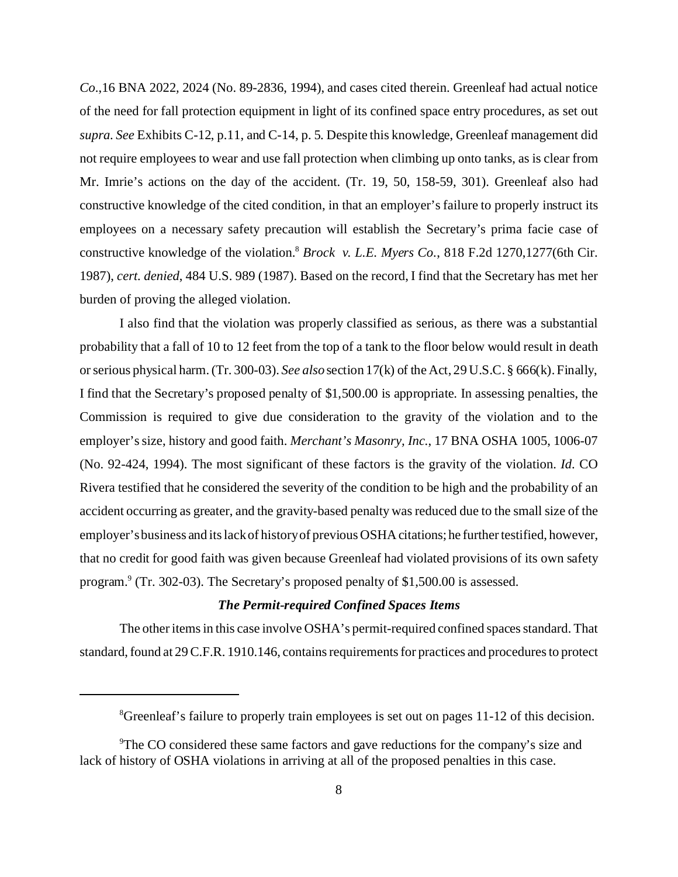*Co*.,16 BNA 2022*,* 2024 (No. 89-2836, 1994), and cases cited therein. Greenleaf had actual notice of the need for fall protection equipment in light of its confined space entry procedures, as set out *supra*. *See* Exhibits C-12, p.11, and C-14, p. 5. Despite this knowledge, Greenleaf management did not require employees to wear and use fall protection when climbing up onto tanks, as is clear from Mr. Imrie's actions on the day of the accident. (Tr. 19, 50, 158-59, 301). Greenleaf also had constructive knowledge of the cited condition, in that an employer's failure to properly instruct its employees on a necessary safety precaution will establish the Secretary's prima facie case of constructive knowledge of the violation.8 *Brock v. L.E. Myers Co.*, 818 F.2d 1270,1277(6th Cir. 1987), *cert. denied*, 484 U.S. 989 (1987). Based on the record, I find that the Secretary has met her burden of proving the alleged violation.

I also find that the violation was properly classified as serious, as there was a substantial probability that a fall of 10 to 12 feet from the top of a tank to the floor below would result in death or serious physical harm. (Tr. 300-03). *See also* section 17(k) of the Act, 29 U.S.C. § 666(k). Finally, I find that the Secretary's proposed penalty of \$1,500.00 is appropriate. In assessing penalties, the Commission is required to give due consideration to the gravity of the violation and to the employer's size, history and good faith. *Merchant's Masonry, Inc.*, 17 BNA OSHA 1005, 1006-07 (No. 92-424, 1994). The most significant of these factors is the gravity of the violation. *Id*. CO Rivera testified that he considered the severity of the condition to be high and the probability of an accident occurring as greater, and the gravity-based penalty was reduced due to the small size of the employer's business and its lack of history of previous OSHA citations; he further testified, however, that no credit for good faith was given because Greenleaf had violated provisions of its own safety program.<sup>9</sup> (Tr. 302-03). The Secretary's proposed penalty of \$1,500.00 is assessed.

## *The Permit-required Confined Spaces Items*

The other items in this case involve OSHA's permit-required confined spaces standard. That standard, found at 29 C.F.R. 1910.146, contains requirements for practices and procedures to protect

<sup>&</sup>lt;sup>8</sup>Greenleaf's failure to properly train employees is set out on pages 11-12 of this decision.

<sup>&</sup>lt;sup>9</sup>The CO considered these same factors and gave reductions for the company's size and lack of history of OSHA violations in arriving at all of the proposed penalties in this case.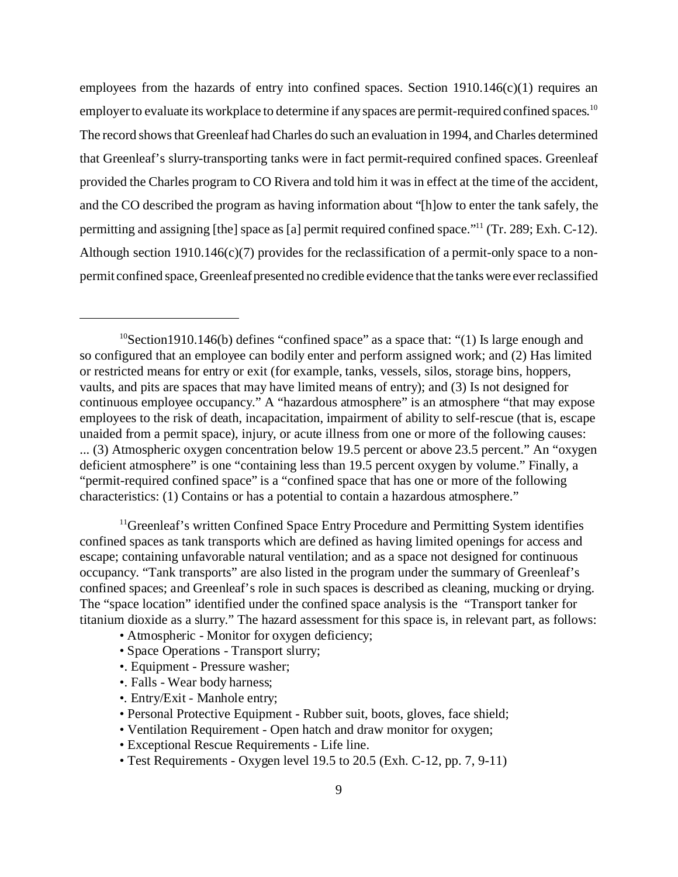employees from the hazards of entry into confined spaces. Section  $1910.146(c)(1)$  requires an employer to evaluate its workplace to determine if any spaces are permit-required confined spaces.<sup>10</sup> The record shows that Greenleaf had Charles do such an evaluation in 1994, and Charles determined that Greenleaf's slurry-transporting tanks were in fact permit-required confined spaces. Greenleaf provided the Charles program to CO Rivera and told him it was in effect at the time of the accident, and the CO described the program as having information about "[h]ow to enter the tank safely, the permitting and assigning [the] space as [a] permit required confined space."11 (Tr. 289; Exh. C-12). Although section 1910.146(c)(7) provides for the reclassification of a permit-only space to a nonpermit confined space, Greenleaf presented no credible evidence that the tanks were ever reclassified

<sup>10</sup>Section1910.146(b) defines "confined space" as a space that: "(1) Is large enough and so configured that an employee can bodily enter and perform assigned work; and (2) Has limited or restricted means for entry or exit (for example, tanks, vessels, silos, storage bins, hoppers, vaults, and pits are spaces that may have limited means of entry); and (3) Is not designed for continuous employee occupancy." A "hazardous atmosphere" is an atmosphere "that may expose employees to the risk of death, incapacitation, impairment of ability to self-rescue (that is, escape unaided from a permit space), injury, or acute illness from one or more of the following causes: ... (3) Atmospheric oxygen concentration below 19.5 percent or above 23.5 percent." An "oxygen deficient atmosphere" is one "containing less than 19.5 percent oxygen by volume." Finally, a "permit-required confined space" is a "confined space that has one or more of the following characteristics: (1) Contains or has a potential to contain a hazardous atmosphere."

 $<sup>11</sup>$ Greenleaf's written Confined Space Entry Procedure and Permitting System identifies</sup> confined spaces as tank transports which are defined as having limited openings for access and escape; containing unfavorable natural ventilation; and as a space not designed for continuous occupancy. "Tank transports" are also listed in the program under the summary of Greenleaf's confined spaces; and Greenleaf's role in such spaces is described as cleaning, mucking or drying. The "space location" identified under the confined space analysis is the "Transport tanker for titanium dioxide as a slurry." The hazard assessment for this space is, in relevant part, as follows:

- Atmospheric Monitor for oxygen deficiency;
- Space Operations Transport slurry;
- •. Equipment Pressure washer;
- •. Falls Wear body harness;
- •. Entry/Exit Manhole entry;
- Personal Protective Equipment Rubber suit, boots, gloves, face shield;
- Ventilation Requirement Open hatch and draw monitor for oxygen;
- Exceptional Rescue Requirements Life line.
- Test Requirements Oxygen level 19.5 to 20.5 (Exh. C-12, pp. 7, 9-11)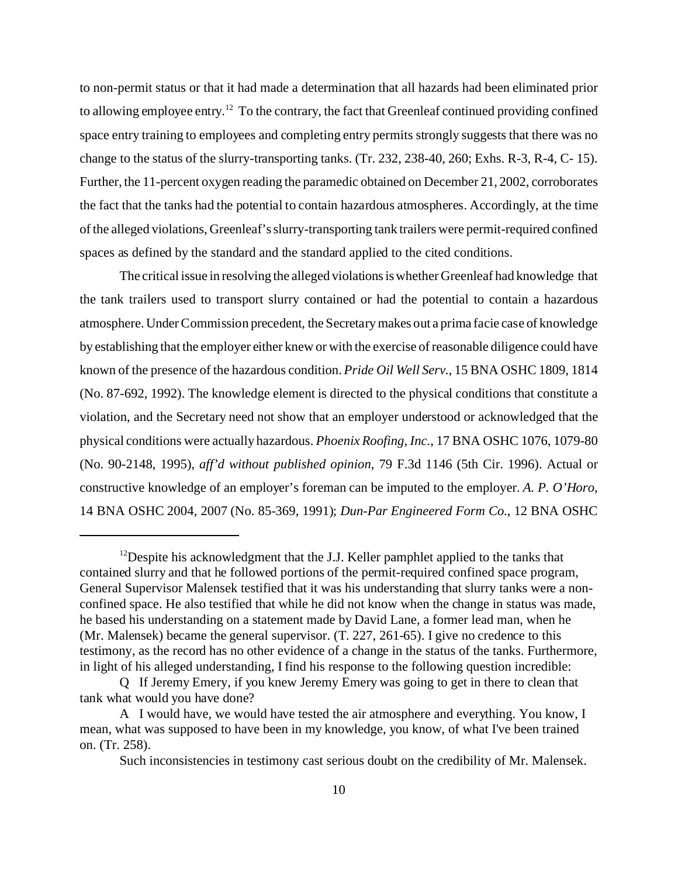to non-permit status or that it had made a determination that all hazards had been eliminated prior to allowing employee entry.<sup>12</sup> To the contrary, the fact that Greenleaf continued providing confined space entry training to employees and completing entry permits strongly suggests that there was no change to the status of the slurry-transporting tanks. (Tr. 232, 238-40, 260; Exhs. R-3, R-4, C- 15). Further, the 11-percent oxygen reading the paramedic obtained on December 21, 2002, corroborates the fact that the tanks had the potential to contain hazardous atmospheres. Accordingly, at the time of the alleged violations, Greenleaf's slurry-transporting tank trailers were permit-required confined spaces as defined by the standard and the standard applied to the cited conditions.

The critical issue in resolving the alleged violations is whether Greenleaf had knowledge that the tank trailers used to transport slurry contained or had the potential to contain a hazardous atmosphere. Under Commission precedent, the Secretary makes out a prima facie case of knowledge by establishing that the employer either knew or with the exercise of reasonable diligence could have known of the presence of the hazardous condition. *Pride Oil Well Serv.*, 15 BNA OSHC 1809, 1814 (No. 87-692, 1992). The knowledge element is directed to the physical conditions that constitute a violation, and the Secretary need not show that an employer understood or acknowledged that the physical conditions were actually hazardous. *Phoenix Roofing, Inc.*, 17 BNA OSHC 1076, 1079-80 (No. 90-2148, 1995), *aff'd without published opinion*, 79 F.3d 1146 (5th Cir. 1996). Actual or constructive knowledge of an employer's foreman can be imputed to the employer. *A. P. O'Horo*, 14 BNA OSHC 2004, 2007 (No. 85-369, 1991); *Dun-Par Engineered Form Co.*, 12 BNA OSHC

<sup>&</sup>lt;sup>12</sup>Despite his acknowledgment that the J.J. Keller pamphlet applied to the tanks that contained slurry and that he followed portions of the permit-required confined space program, General Supervisor Malensek testified that it was his understanding that slurry tanks were a nonconfined space. He also testified that while he did not know when the change in status was made, he based his understanding on a statement made by David Lane, a former lead man, when he (Mr. Malensek) became the general supervisor. (T. 227, 261-65). I give no credence to this testimony, as the record has no other evidence of a change in the status of the tanks. Furthermore, in light of his alleged understanding, I find his response to the following question incredible:

Q If Jeremy Emery, if you knew Jeremy Emery was going to get in there to clean that tank what would you have done?

A I would have, we would have tested the air atmosphere and everything. You know, I mean, what was supposed to have been in my knowledge, you know, of what I've been trained on. (Tr. 258).

Such inconsistencies in testimony cast serious doubt on the credibility of Mr. Malensek.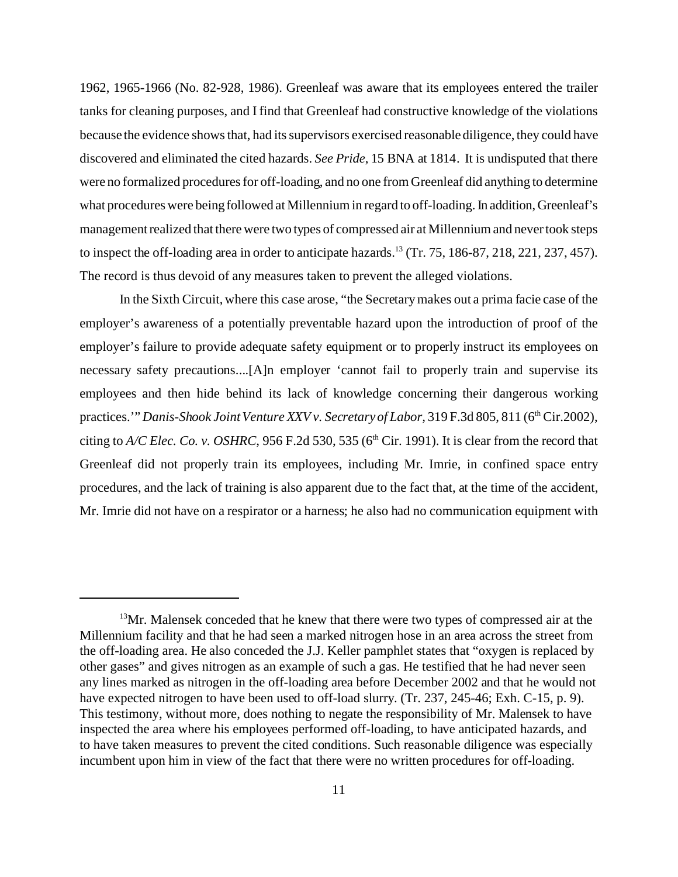1962, 1965-1966 (No. 82-928, 1986). Greenleaf was aware that its employees entered the trailer tanks for cleaning purposes, and I find that Greenleaf had constructive knowledge of the violations because the evidence shows that, had its supervisors exercised reasonable diligence, they could have discovered and eliminated the cited hazards. *See Pride*, 15 BNA at 1814. It is undisputed that there were no formalized procedures for off-loading, and no one from Greenleaf did anything to determine what procedures were being followed at Millennium in regard to off-loading. In addition, Greenleaf's management realized that there were two types of compressed air at Millennium and never took steps to inspect the off-loading area in order to anticipate hazards.<sup>13</sup> (Tr. 75, 186-87, 218, 221, 237, 457). The record is thus devoid of any measures taken to prevent the alleged violations.

In the Sixth Circuit, where this case arose, "the Secretary makes out a prima facie case of the employer's awareness of a potentially preventable hazard upon the introduction of proof of the employer's failure to provide adequate safety equipment or to properly instruct its employees on necessary safety precautions....[A]n employer 'cannot fail to properly train and supervise its employees and then hide behind its lack of knowledge concerning their dangerous working practices." *Danis-Shook Joint Venture XXV v. Secretary of Labor*, 319 F.3d 805, 811 (6<sup>th</sup> Cir.2002), citing to  $A/C$  *Elec. Co. v. OSHRC*, 956 F.2d 530, 535 ( $6<sup>th</sup>$  Cir. 1991). It is clear from the record that Greenleaf did not properly train its employees, including Mr. Imrie, in confined space entry procedures, and the lack of training is also apparent due to the fact that, at the time of the accident, Mr. Imrie did not have on a respirator or a harness; he also had no communication equipment with

 $13$ Mr. Malensek conceded that he knew that there were two types of compressed air at the Millennium facility and that he had seen a marked nitrogen hose in an area across the street from the off-loading area. He also conceded the J.J. Keller pamphlet states that "oxygen is replaced by other gases" and gives nitrogen as an example of such a gas. He testified that he had never seen any lines marked as nitrogen in the off-loading area before December 2002 and that he would not have expected nitrogen to have been used to off-load slurry. (Tr. 237, 245-46; Exh. C-15, p. 9). This testimony, without more, does nothing to negate the responsibility of Mr. Malensek to have inspected the area where his employees performed off-loading, to have anticipated hazards, and to have taken measures to prevent the cited conditions. Such reasonable diligence was especially incumbent upon him in view of the fact that there were no written procedures for off-loading.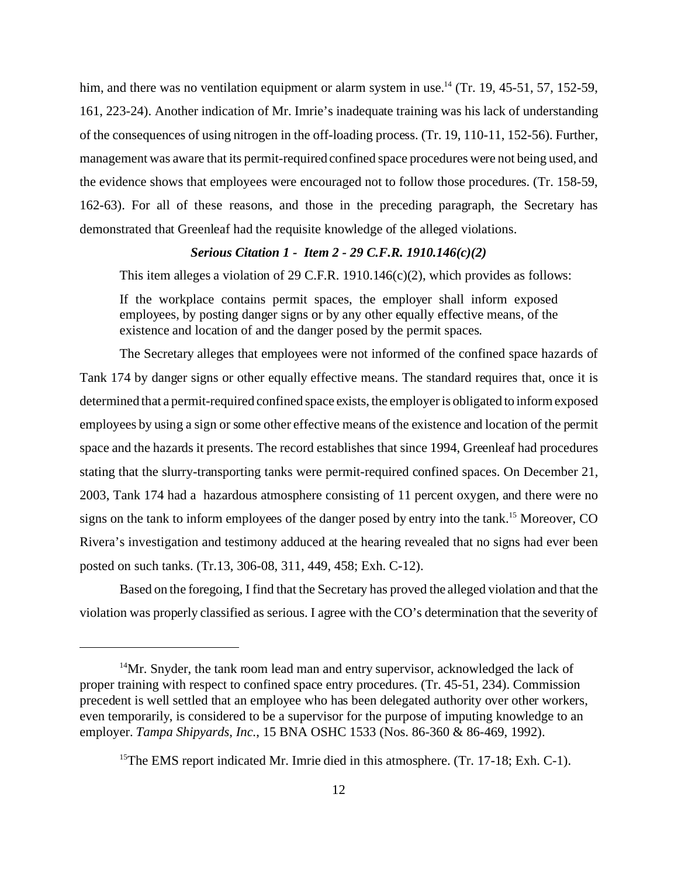him, and there was no ventilation equipment or alarm system in use.<sup>14</sup> (Tr. 19, 45-51, 57, 152-59, 161, 223-24). Another indication of Mr. Imrie's inadequate training was his lack of understanding of the consequences of using nitrogen in the off-loading process. (Tr. 19, 110-11, 152-56). Further, management was aware that its permit-required confined space procedures were not being used, and the evidence shows that employees were encouraged not to follow those procedures. (Tr. 158-59, 162-63). For all of these reasons, and those in the preceding paragraph, the Secretary has demonstrated that Greenleaf had the requisite knowledge of the alleged violations.

## *Serious Citation 1 - Item 2 - 29 C.F.R. 1910.146(c)(2)*

This item alleges a violation of 29 C.F.R. 1910.146(c)(2), which provides as follows:

If the workplace contains permit spaces, the employer shall inform exposed employees, by posting danger signs or by any other equally effective means, of the existence and location of and the danger posed by the permit spaces.

The Secretary alleges that employees were not informed of the confined space hazards of Tank 174 by danger signs or other equally effective means. The standard requires that, once it is determined that a permit-required confined space exists, the employer is obligated to inform exposed employees by using a sign or some other effective means of the existence and location of the permit space and the hazards it presents. The record establishes that since 1994, Greenleaf had procedures stating that the slurry-transporting tanks were permit-required confined spaces. On December 21, 2003, Tank 174 had a hazardous atmosphere consisting of 11 percent oxygen, and there were no signs on the tank to inform employees of the danger posed by entry into the tank.<sup>15</sup> Moreover, CO Rivera's investigation and testimony adduced at the hearing revealed that no signs had ever been posted on such tanks. (Tr.13, 306-08, 311, 449, 458; Exh. C-12).

Based on the foregoing, I find that the Secretary has proved the alleged violation and that the violation was properly classified as serious. I agree with the CO's determination that the severity of

 $14$ Mr. Snyder, the tank room lead man and entry supervisor, acknowledged the lack of proper training with respect to confined space entry procedures. (Tr. 45-51, 234). Commission precedent is well settled that an employee who has been delegated authority over other workers, even temporarily, is considered to be a supervisor for the purpose of imputing knowledge to an employer. *Tampa Shipyards, Inc.*, 15 BNA OSHC 1533 (Nos. 86-360 & 86-469, 1992).

<sup>&</sup>lt;sup>15</sup>The EMS report indicated Mr. Imrie died in this atmosphere. (Tr. 17-18; Exh. C-1).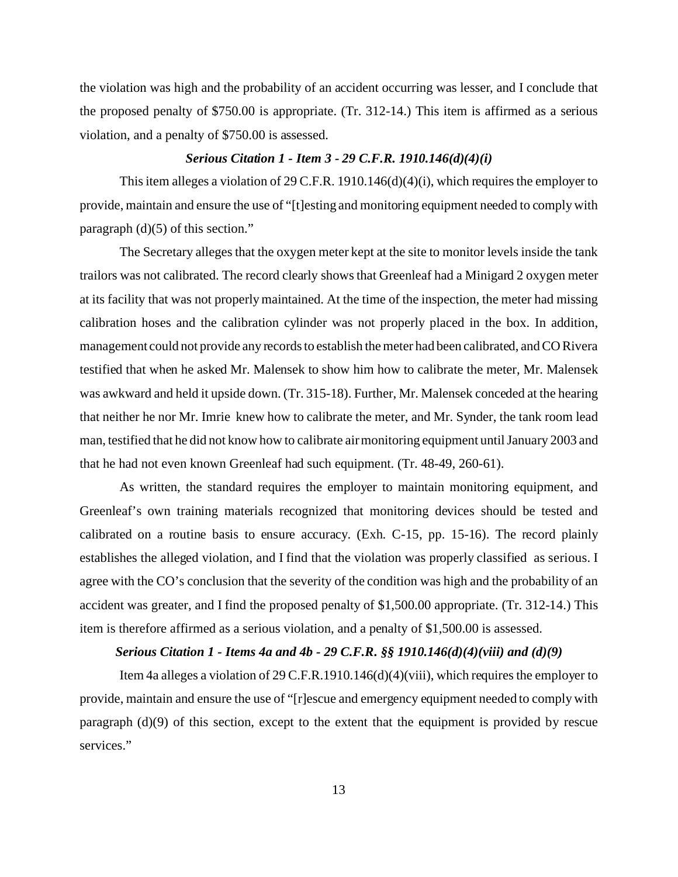the violation was high and the probability of an accident occurring was lesser, and I conclude that the proposed penalty of \$750.00 is appropriate. (Tr. 312-14.) This item is affirmed as a serious violation, and a penalty of \$750.00 is assessed.

#### *Serious Citation 1 - Item 3 - 29 C.F.R. 1910.146(d)(4)(i)*

This item alleges a violation of 29 C.F.R. 1910.146(d)(4)(i), which requires the employer to provide, maintain and ensure the use of "[t]esting and monitoring equipment needed to comply with paragraph (d)(5) of this section."

The Secretary alleges that the oxygen meter kept at the site to monitor levels inside the tank trailors was not calibrated. The record clearly shows that Greenleaf had a Minigard 2 oxygen meter at its facility that was not properly maintained. At the time of the inspection, the meter had missing calibration hoses and the calibration cylinder was not properly placed in the box. In addition, management could not provide any records to establish the meter had been calibrated, and CO Rivera testified that when he asked Mr. Malensek to show him how to calibrate the meter, Mr. Malensek was awkward and held it upside down. (Tr. 315-18). Further, Mr. Malensek conceded at the hearing that neither he nor Mr. Imrie knew how to calibrate the meter, and Mr. Synder, the tank room lead man, testified that he did not know how to calibrate air monitoring equipment until January 2003 and that he had not even known Greenleaf had such equipment. (Tr. 48-49, 260-61).

As written, the standard requires the employer to maintain monitoring equipment, and Greenleaf's own training materials recognized that monitoring devices should be tested and calibrated on a routine basis to ensure accuracy. (Exh. C-15, pp. 15-16). The record plainly establishes the alleged violation, and I find that the violation was properly classified as serious. I agree with the CO's conclusion that the severity of the condition was high and the probability of an accident was greater, and I find the proposed penalty of \$1,500.00 appropriate. (Tr. 312-14.) This item is therefore affirmed as a serious violation, and a penalty of \$1,500.00 is assessed.

# *Serious Citation 1 - Items 4a and 4b - 29 C.F.R. §§ 1910.146(d)(4)(viii) and (d)(9)*

Item 4a alleges a violation of 29 C.F.R.1910.146(d)(4)(viii), which requires the employer to provide, maintain and ensure the use of "[r]escue and emergency equipment needed to comply with paragraph (d)(9) of this section, except to the extent that the equipment is provided by rescue services."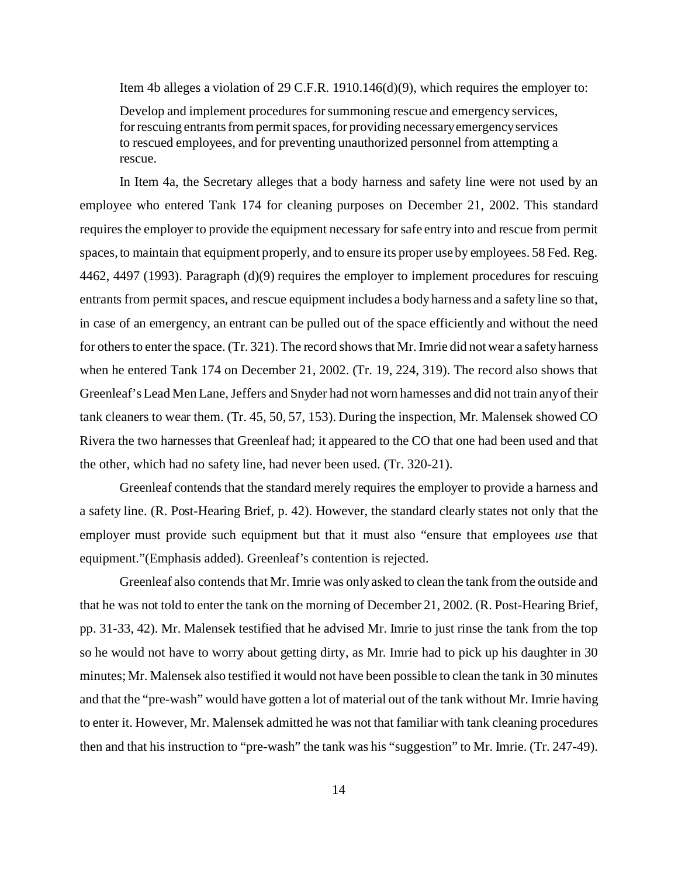Item 4b alleges a violation of 29 C.F.R. 1910.146(d)(9), which requires the employer to:

Develop and implement procedures for summoning rescue and emergency services, for rescuing entrants from permit spaces, for providing necessary emergency services to rescued employees, and for preventing unauthorized personnel from attempting a rescue.

In Item 4a, the Secretary alleges that a body harness and safety line were not used by an employee who entered Tank 174 for cleaning purposes on December 21, 2002. This standard requires the employer to provide the equipment necessary for safe entry into and rescue from permit spaces, to maintain that equipment properly, and to ensure its proper use by employees. 58 Fed. Reg. 4462, 4497 (1993). Paragraph (d)(9) requires the employer to implement procedures for rescuing entrants from permit spaces, and rescue equipment includes a body harness and a safety line so that, in case of an emergency, an entrant can be pulled out of the space efficiently and without the need for others to enter the space. (Tr. 321). The record shows that Mr. Imrie did not wear a safety harness when he entered Tank 174 on December 21, 2002. (Tr. 19, 224, 319). The record also shows that Greenleaf's Lead Men Lane, Jeffers and Snyder had not worn harnesses and did not train any of their tank cleaners to wear them. (Tr. 45, 50, 57, 153). During the inspection, Mr. Malensek showed CO Rivera the two harnesses that Greenleaf had; it appeared to the CO that one had been used and that the other, which had no safety line, had never been used. (Tr. 320-21).

Greenleaf contends that the standard merely requires the employer to provide a harness and a safety line. (R. Post-Hearing Brief, p. 42). However, the standard clearly states not only that the employer must provide such equipment but that it must also "ensure that employees *use* that equipment."(Emphasis added). Greenleaf's contention is rejected.

Greenleaf also contends that Mr. Imrie was only asked to clean the tank from the outside and that he was not told to enter the tank on the morning of December 21, 2002. (R. Post-Hearing Brief, pp. 31-33, 42). Mr. Malensek testified that he advised Mr. Imrie to just rinse the tank from the top so he would not have to worry about getting dirty, as Mr. Imrie had to pick up his daughter in 30 minutes; Mr. Malensek also testified it would not have been possible to clean the tank in 30 minutes and that the "pre-wash" would have gotten a lot of material out of the tank without Mr. Imrie having to enter it. However, Mr. Malensek admitted he was not that familiar with tank cleaning procedures then and that his instruction to "pre-wash" the tank was his "suggestion" to Mr. Imrie. (Tr. 247-49).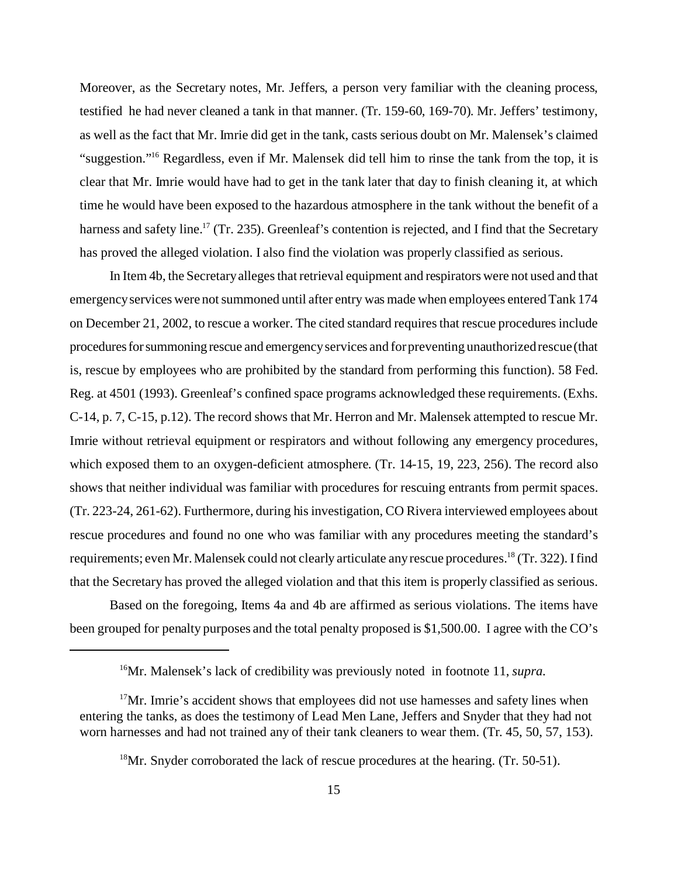Moreover, as the Secretary notes, Mr. Jeffers, a person very familiar with the cleaning process, testified he had never cleaned a tank in that manner. (Tr. 159-60, 169-70). Mr. Jeffers' testimony, as well as the fact that Mr. Imrie did get in the tank, casts serious doubt on Mr. Malensek's claimed "suggestion."16 Regardless, even if Mr. Malensek did tell him to rinse the tank from the top, it is clear that Mr. Imrie would have had to get in the tank later that day to finish cleaning it, at which time he would have been exposed to the hazardous atmosphere in the tank without the benefit of a harness and safety line.<sup>17</sup> (Tr. 235). Greenleaf's contention is rejected, and I find that the Secretary has proved the alleged violation. I also find the violation was properly classified as serious.

In Item 4b, the Secretary alleges that retrieval equipment and respirators were not used and that emergency services were not summoned until after entry was made when employees entered Tank 174 on December 21, 2002, to rescue a worker. The cited standard requires that rescue procedures include procedures for summoning rescue and emergency services and for preventing unauthorized rescue (that is, rescue by employees who are prohibited by the standard from performing this function). 58 Fed. Reg. at 4501 (1993). Greenleaf's confined space programs acknowledged these requirements. (Exhs. C-14, p. 7, C-15, p.12). The record shows that Mr. Herron and Mr. Malensek attempted to rescue Mr. Imrie without retrieval equipment or respirators and without following any emergency procedures, which exposed them to an oxygen-deficient atmosphere. (Tr. 14-15, 19, 223, 256). The record also shows that neither individual was familiar with procedures for rescuing entrants from permit spaces. (Tr. 223-24, 261-62). Furthermore, during his investigation, CO Rivera interviewed employees about rescue procedures and found no one who was familiar with any procedures meeting the standard's requirements; even Mr. Malensek could not clearly articulate any rescue procedures.<sup>18</sup> (Tr. 322). I find that the Secretary has proved the alleged violation and that this item is properly classified as serious.

Based on the foregoing, Items 4a and 4b are affirmed as serious violations. The items have been grouped for penalty purposes and the total penalty proposed is \$1,500.00. I agree with the CO's

<sup>16</sup>Mr. Malensek's lack of credibility was previously noted in footnote 11, *supra*.

 $17$ Mr. Imrie's accident shows that employees did not use harnesses and safety lines when entering the tanks, as does the testimony of Lead Men Lane, Jeffers and Snyder that they had not worn harnesses and had not trained any of their tank cleaners to wear them. (Tr. 45, 50, 57, 153).

<sup>&</sup>lt;sup>18</sup>Mr. Snyder corroborated the lack of rescue procedures at the hearing. (Tr. 50-51).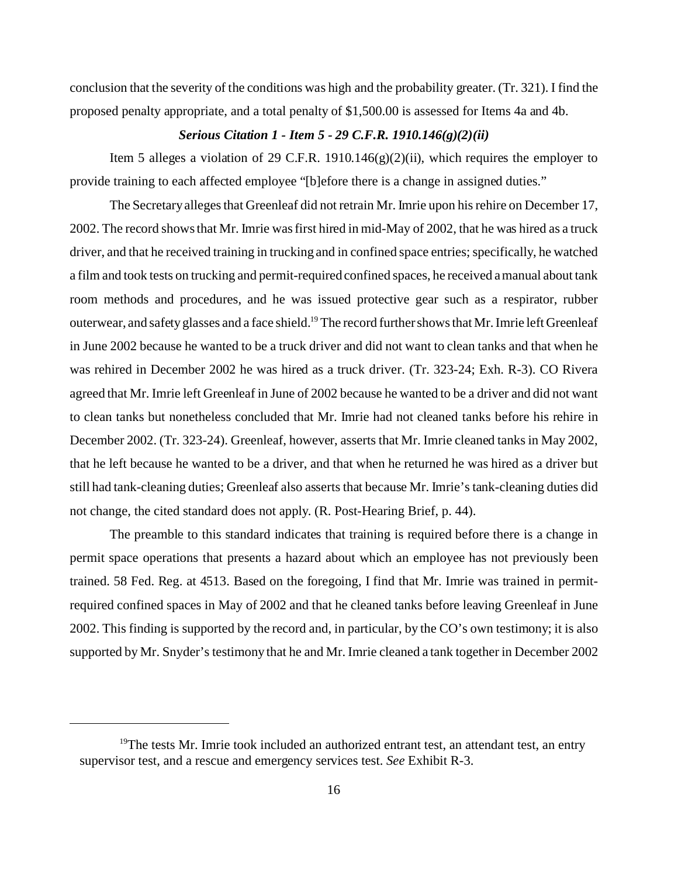conclusion that the severity of the conditions was high and the probability greater. (Tr. 321). I find the proposed penalty appropriate, and a total penalty of \$1,500.00 is assessed for Items 4a and 4b.

# *Serious Citation 1 - Item 5 - 29 C.F.R. 1910.146(g)(2)(ii)*

Item 5 alleges a violation of 29 C.F.R. 1910.146 $(g)(2)(ii)$ , which requires the employer to provide training to each affected employee "[b]efore there is a change in assigned duties."

The Secretary alleges that Greenleaf did not retrain Mr. Imrie upon his rehire on December 17, 2002. The record shows that Mr. Imrie was first hired in mid-May of 2002, that he was hired as a truck driver, and that he received training in trucking and in confined space entries; specifically, he watched a film and took tests on trucking and permit-required confined spaces, he received a manual about tank room methods and procedures, and he was issued protective gear such as a respirator, rubber outerwear, and safety glasses and a face shield.<sup>19</sup> The record further shows that Mr. Imrie left Greenleaf in June 2002 because he wanted to be a truck driver and did not want to clean tanks and that when he was rehired in December 2002 he was hired as a truck driver. (Tr. 323-24; Exh. R-3). CO Rivera agreed that Mr. Imrie left Greenleaf in June of 2002 because he wanted to be a driver and did not want to clean tanks but nonetheless concluded that Mr. Imrie had not cleaned tanks before his rehire in December 2002. (Tr. 323-24). Greenleaf, however, asserts that Mr. Imrie cleaned tanks in May 2002, that he left because he wanted to be a driver, and that when he returned he was hired as a driver but still had tank-cleaning duties; Greenleaf also asserts that because Mr. Imrie's tank-cleaning duties did not change, the cited standard does not apply. (R. Post-Hearing Brief, p. 44).

The preamble to this standard indicates that training is required before there is a change in permit space operations that presents a hazard about which an employee has not previously been trained. 58 Fed. Reg. at 4513. Based on the foregoing, I find that Mr. Imrie was trained in permitrequired confined spaces in May of 2002 and that he cleaned tanks before leaving Greenleaf in June 2002. This finding is supported by the record and, in particular, by the CO's own testimony; it is also supported by Mr. Snyder's testimony that he and Mr. Imrie cleaned a tank together in December 2002

 $19$ The tests Mr. Imrie took included an authorized entrant test, an attendant test, an entry supervisor test, and a rescue and emergency services test. *See* Exhibit R-3.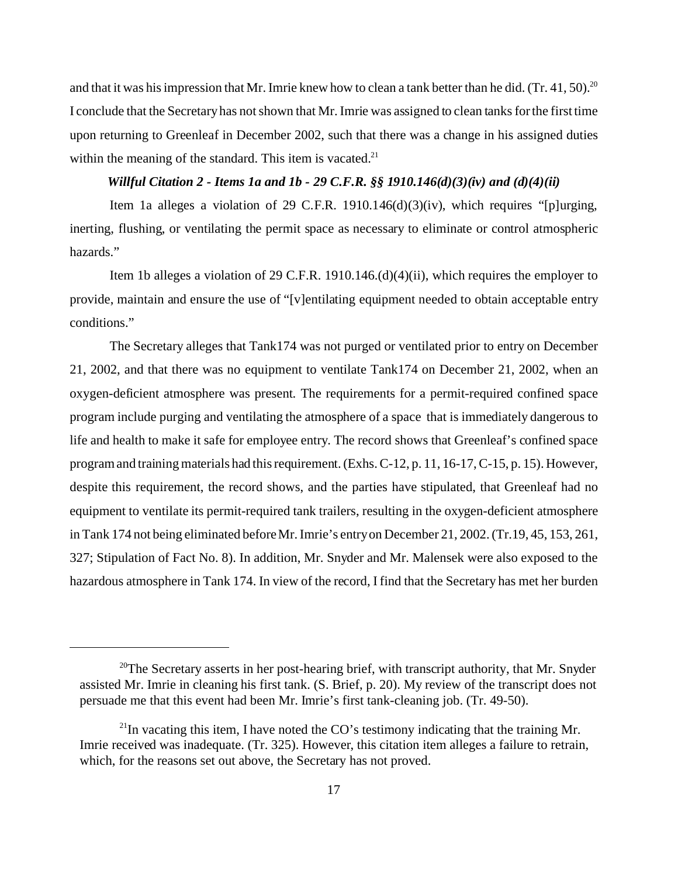and that it was his impression that Mr. Imrie knew how to clean a tank better than he did. (Tr. 41, 50).<sup>20</sup> I conclude that the Secretary has not shown that Mr. Imrie was assigned to clean tanks for the first time upon returning to Greenleaf in December 2002, such that there was a change in his assigned duties within the meaning of the standard. This item is vacated. $21$ 

## *Willful Citation 2 - Items 1a and 1b - 29 C.F.R. §§ 1910.146(d)(3)(iv) and (d)(4)(ii)*

Item 1a alleges a violation of 29 C.F.R. 1910.146(d)(3)(iv), which requires "[p]urging, inerting, flushing, or ventilating the permit space as necessary to eliminate or control atmospheric hazards."

Item 1b alleges a violation of 29 C.F.R. 1910.146. $(d)(4)(ii)$ , which requires the employer to provide, maintain and ensure the use of "[v]entilating equipment needed to obtain acceptable entry conditions."

The Secretary alleges that Tank174 was not purged or ventilated prior to entry on December 21, 2002, and that there was no equipment to ventilate Tank174 on December 21, 2002, when an oxygen-deficient atmosphere was present. The requirements for a permit-required confined space program include purging and ventilating the atmosphere of a space that is immediately dangerous to life and health to make it safe for employee entry. The record shows that Greenleaf's confined space program and training materials had this requirement. (Exhs. C-12, p. 11, 16-17, C-15, p. 15). However, despite this requirement, the record shows, and the parties have stipulated, that Greenleaf had no equipment to ventilate its permit-required tank trailers, resulting in the oxygen-deficient atmosphere in Tank 174 not being eliminated before Mr. Imrie's entry on December 21, 2002. (Tr.19, 45, 153, 261, 327; Stipulation of Fact No. 8). In addition, Mr. Snyder and Mr. Malensek were also exposed to the hazardous atmosphere in Tank 174. In view of the record, I find that the Secretary has met her burden

<sup>&</sup>lt;sup>20</sup>The Secretary asserts in her post-hearing brief, with transcript authority, that Mr. Snyder assisted Mr. Imrie in cleaning his first tank. (S. Brief, p. 20). My review of the transcript does not persuade me that this event had been Mr. Imrie's first tank-cleaning job. (Tr. 49-50).

 $^{21}$ In vacating this item, I have noted the CO's testimony indicating that the training Mr. Imrie received was inadequate. (Tr. 325). However, this citation item alleges a failure to retrain, which, for the reasons set out above, the Secretary has not proved.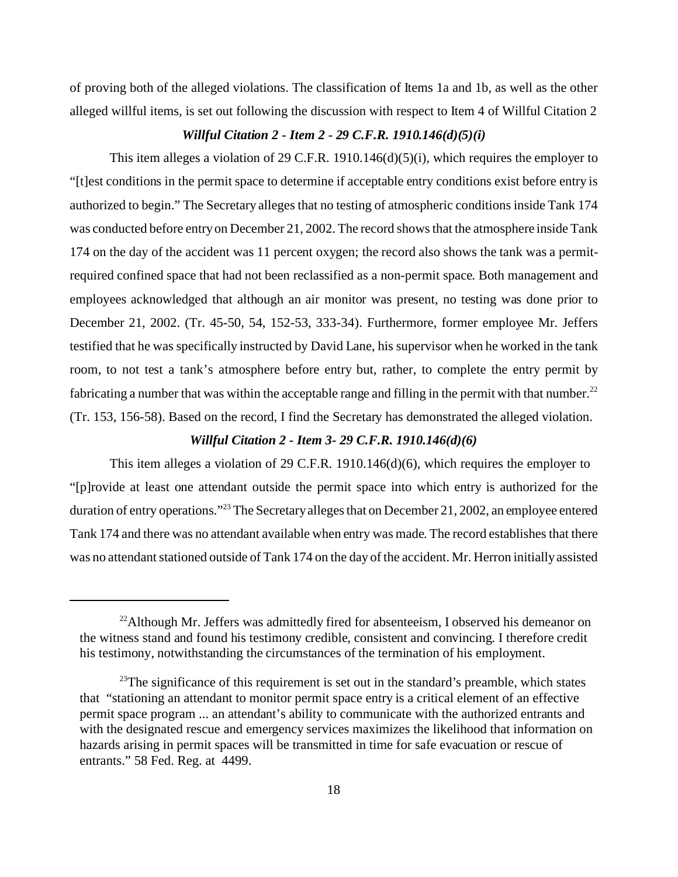of proving both of the alleged violations. The classification of Items 1a and 1b, as well as the other alleged willful items, is set out following the discussion with respect to Item 4 of Willful Citation 2

# *Willful Citation 2 - Item 2 - 29 C.F.R. 1910.146(d)(5)(i)*

This item alleges a violation of 29 C.F.R. 1910.146(d)(5)(i), which requires the employer to "[t]est conditions in the permit space to determine if acceptable entry conditions exist before entry is authorized to begin." The Secretary alleges that no testing of atmospheric conditions inside Tank 174 was conducted before entry on December 21, 2002. The record shows that the atmosphere inside Tank 174 on the day of the accident was 11 percent oxygen; the record also shows the tank was a permitrequired confined space that had not been reclassified as a non-permit space. Both management and employees acknowledged that although an air monitor was present, no testing was done prior to December 21, 2002. (Tr. 45-50, 54, 152-53, 333-34). Furthermore, former employee Mr. Jeffers testified that he was specifically instructed by David Lane, his supervisor when he worked in the tank room, to not test a tank's atmosphere before entry but, rather, to complete the entry permit by fabricating a number that was within the acceptable range and filling in the permit with that number.<sup>22</sup> (Tr. 153, 156-58). Based on the record, I find the Secretary has demonstrated the alleged violation.

## *Willful Citation 2 - Item 3- 29 C.F.R. 1910.146(d)(6)*

This item alleges a violation of 29 C.F.R. 1910.146(d)(6), which requires the employer to "[p]rovide at least one attendant outside the permit space into which entry is authorized for the duration of entry operations."<sup>23</sup> The Secretary alleges that on December 21, 2002, an employee entered Tank 174 and there was no attendant available when entry was made. The record establishes that there was no attendant stationed outside of Tank 174 on the day of the accident. Mr. Herron initially assisted

<sup>&</sup>lt;sup>22</sup>Although Mr. Jeffers was admittedly fired for absenteeism, I observed his demeanor on the witness stand and found his testimony credible, consistent and convincing. I therefore credit his testimony, notwithstanding the circumstances of the termination of his employment.

 $^{23}$ The significance of this requirement is set out in the standard's preamble, which states that "stationing an attendant to monitor permit space entry is a critical element of an effective permit space program ... an attendant's ability to communicate with the authorized entrants and with the designated rescue and emergency services maximizes the likelihood that information on hazards arising in permit spaces will be transmitted in time for safe evacuation or rescue of entrants." 58 Fed. Reg. at 4499.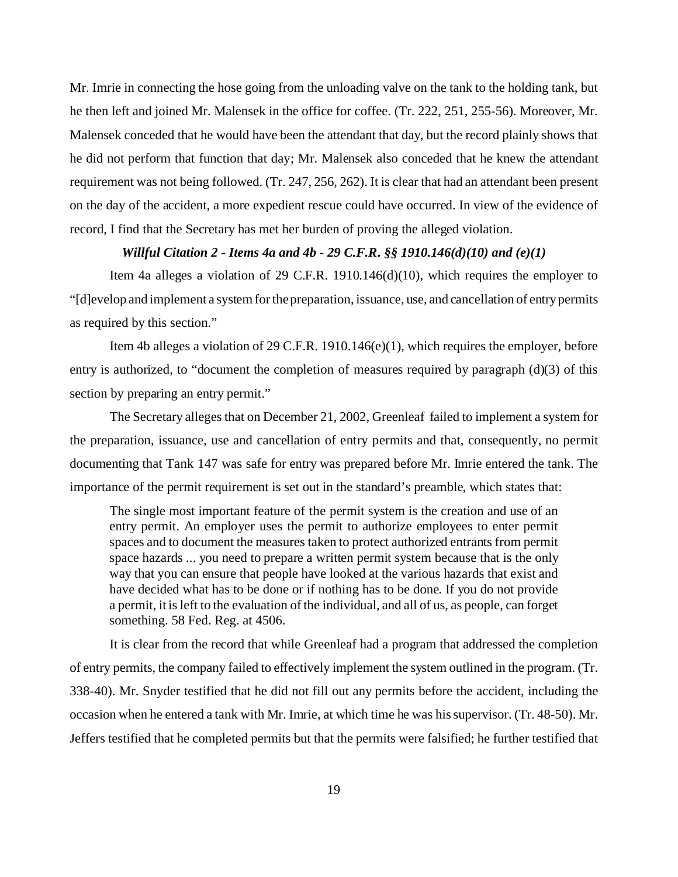Mr. Imrie in connecting the hose going from the unloading valve on the tank to the holding tank, but he then left and joined Mr. Malensek in the office for coffee. (Tr. 222, 251, 255-56). Moreover, Mr. Malensek conceded that he would have been the attendant that day, but the record plainly shows that he did not perform that function that day; Mr. Malensek also conceded that he knew the attendant requirement was not being followed. (Tr. 247, 256, 262). It is clear that had an attendant been present on the day of the accident, a more expedient rescue could have occurred. In view of the evidence of record, I find that the Secretary has met her burden of proving the alleged violation.

## *Willful Citation 2 - Items 4a and 4b - 29 C.F.R. §§ 1910.146(d)(10) and (e)(1)*

Item 4a alleges a violation of 29 C.F.R. 1910.146(d)(10), which requires the employer to "[d]evelop and implement a system for the preparation, issuance, use, and cancellation of entry permits as required by this section."

Item 4b alleges a violation of 29 C.F.R. 1910.146(e)(1), which requires the employer, before entry is authorized, to "document the completion of measures required by paragraph (d)(3) of this section by preparing an entry permit."

The Secretary alleges that on December 21, 2002, Greenleaf failed to implement a system for the preparation, issuance, use and cancellation of entry permits and that, consequently, no permit documenting that Tank 147 was safe for entry was prepared before Mr. Imrie entered the tank. The importance of the permit requirement is set out in the standard's preamble, which states that:

The single most important feature of the permit system is the creation and use of an entry permit. An employer uses the permit to authorize employees to enter permit spaces and to document the measures taken to protect authorized entrants from permit space hazards ... you need to prepare a written permit system because that is the only way that you can ensure that people have looked at the various hazards that exist and have decided what has to be done or if nothing has to be done. If you do not provide a permit, it is left to the evaluation of the individual, and all of us, as people, can forget something. 58 Fed. Reg. at 4506.

It is clear from the record that while Greenleaf had a program that addressed the completion of entry permits, the company failed to effectively implement the system outlined in the program. (Tr. 338-40). Mr. Snyder testified that he did not fill out any permits before the accident, including the occasion when he entered a tank with Mr. Imrie, at which time he was his supervisor. (Tr. 48-50). Mr. Jeffers testified that he completed permits but that the permits were falsified; he further testified that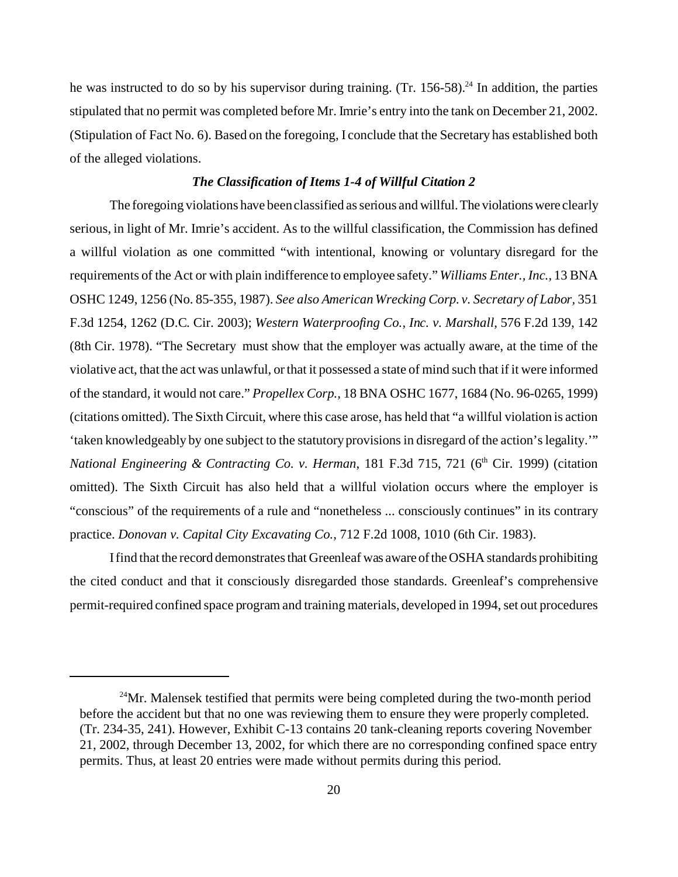he was instructed to do so by his supervisor during training. (Tr.  $156-58$ )<sup>24</sup> In addition, the parties stipulated that no permit was completed before Mr. Imrie's entry into the tank on December 21, 2002. (Stipulation of Fact No. 6). Based on the foregoing, I conclude that the Secretary has established both of the alleged violations.

#### *The Classification of Items 1-4 of Willful Citation 2*

The foregoing violations have been classified as serious and willful. The violations were clearly serious, in light of Mr. Imrie's accident. As to the willful classification, the Commission has defined a willful violation as one committed "with intentional, knowing or voluntary disregard for the requirements of the Act or with plain indifference to employee safety." *Williams Enter., Inc.,* 13 BNA OSHC 1249, 1256 (No. 85-355, 1987). *See also American Wrecking Corp. v. Secretary of Labor,* 351 F.3d 1254, 1262 (D.C. Cir. 2003); *Western Waterproofing Co., Inc. v. Marshall,* 576 F.2d 139, 142 (8th Cir. 1978). "The Secretary must show that the employer was actually aware, at the time of the violative act, that the act was unlawful, or that it possessed a state of mind such that if it were informed of the standard, it would not care." *Propellex Corp.,* 18 BNA OSHC 1677, 1684 (No. 96-0265, 1999) (citations omitted). The Sixth Circuit, where this case arose, has held that "a willful violation is action 'taken knowledgeably by one subject to the statutory provisions in disregard of the action's legality.'" *National Engineering & Contracting Co. v. Herman, 181 F.3d 715, 721 (6<sup>th</sup> Cir. 1999) (citation* omitted). The Sixth Circuit has also held that a willful violation occurs where the employer is "conscious" of the requirements of a rule and "nonetheless ... consciously continues" in its contrary practice. *Donovan v. Capital City Excavating Co.,* 712 F.2d 1008, 1010 (6th Cir. 1983).

I find that the record demonstrates that Greenleaf was aware of the OSHA standards prohibiting the cited conduct and that it consciously disregarded those standards. Greenleaf's comprehensive permit-required confined space program and training materials, developed in 1994, set out procedures

 $24$ Mr. Malensek testified that permits were being completed during the two-month period before the accident but that no one was reviewing them to ensure they were properly completed. (Tr. 234-35, 241). However, Exhibit C-13 contains 20 tank-cleaning reports covering November 21, 2002, through December 13, 2002, for which there are no corresponding confined space entry permits. Thus, at least 20 entries were made without permits during this period.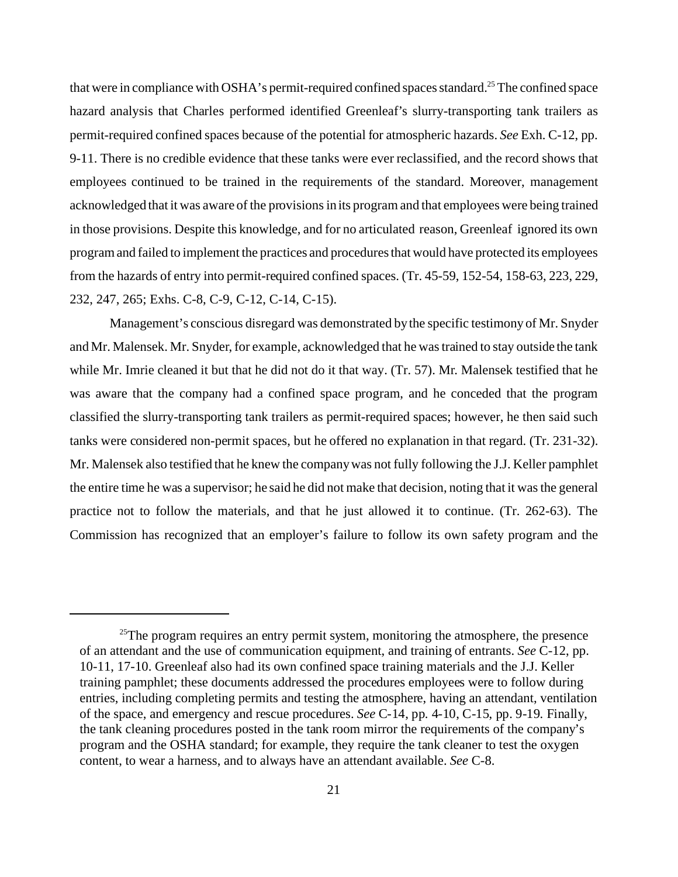that were in compliance with OSHA's permit-required confined spaces standard.<sup>25</sup> The confined space hazard analysis that Charles performed identified Greenleaf's slurry-transporting tank trailers as permit-required confined spaces because of the potential for atmospheric hazards. *See* Exh. C-12, pp. 9-11. There is no credible evidence that these tanks were ever reclassified, and the record shows that employees continued to be trained in the requirements of the standard. Moreover, management acknowledged that it was aware of the provisions in its program and that employees were being trained in those provisions. Despite this knowledge, and for no articulated reason, Greenleaf ignored its own program and failed to implement the practices and procedures that would have protected its employees from the hazards of entry into permit-required confined spaces. (Tr. 45-59, 152-54, 158-63, 223, 229, 232, 247, 265; Exhs. C-8, C-9, C-12, C-14, C-15).

Management's conscious disregard was demonstrated by the specific testimony of Mr. Snyder and Mr. Malensek. Mr. Snyder, for example, acknowledged that he was trained to stay outside the tank while Mr. Imrie cleaned it but that he did not do it that way. (Tr. 57). Mr. Malensek testified that he was aware that the company had a confined space program, and he conceded that the program classified the slurry-transporting tank trailers as permit-required spaces; however, he then said such tanks were considered non-permit spaces, but he offered no explanation in that regard. (Tr. 231-32). Mr. Malensek also testified that he knew the company was not fully following the J.J. Keller pamphlet the entire time he was a supervisor; he said he did not make that decision, noting that it was the general practice not to follow the materials, and that he just allowed it to continue. (Tr. 262-63). The Commission has recognized that an employer's failure to follow its own safety program and the

<sup>&</sup>lt;sup>25</sup>The program requires an entry permit system, monitoring the atmosphere, the presence of an attendant and the use of communication equipment, and training of entrants. *See* C-12, pp. 10-11, 17-10. Greenleaf also had its own confined space training materials and the J.J. Keller training pamphlet; these documents addressed the procedures employees were to follow during entries, including completing permits and testing the atmosphere, having an attendant, ventilation of the space, and emergency and rescue procedures. *See* C-14, pp. 4-10, C-15, pp. 9-19. Finally, the tank cleaning procedures posted in the tank room mirror the requirements of the company's program and the OSHA standard; for example, they require the tank cleaner to test the oxygen content, to wear a harness, and to always have an attendant available. *See* C-8.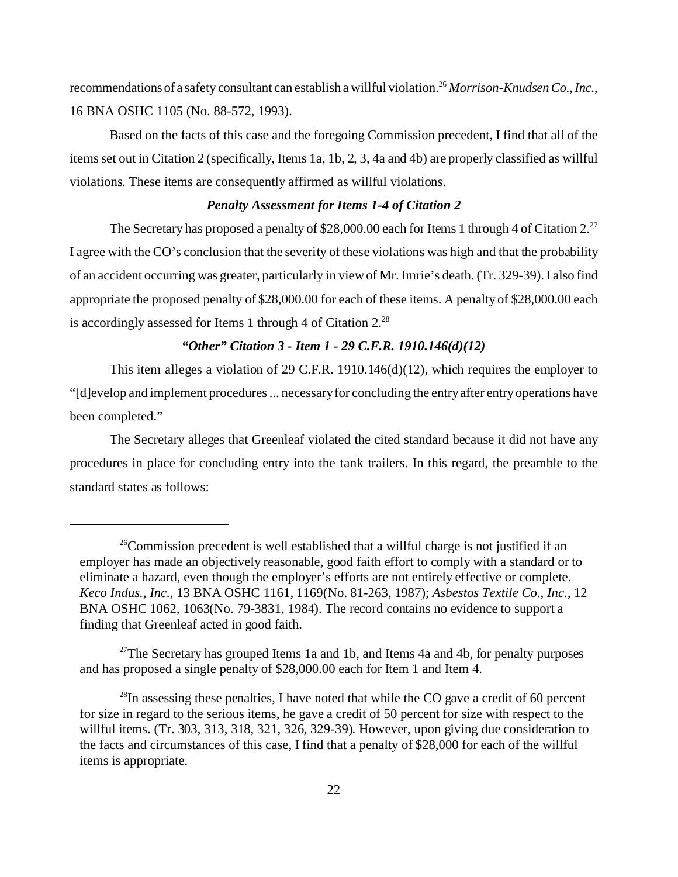recommendations of a safety consultant can establish a willful violation.<sup>26</sup> *Morrison-Knudsen Co., Inc.*, 16 BNA OSHC 1105 (No. 88-572, 1993).

Based on the facts of this case and the foregoing Commission precedent, I find that all of the items set out in Citation 2 (specifically, Items 1a, 1b, 2, 3, 4a and 4b) are properly classified as willful violations. These items are consequently affirmed as willful violations.

#### *Penalty Assessment for Items 1-4 of Citation 2*

The Secretary has proposed a penalty of \$28,000.00 each for Items 1 through 4 of Citation  $2^{27}$ . I agree with the CO's conclusion that the severity of these violations was high and that the probability of an accident occurring was greater, particularly in view of Mr. Imrie's death. (Tr. 329-39). I also find appropriate the proposed penalty of \$28,000.00 for each of these items. A penalty of \$28,000.00 each is accordingly assessed for Items 1 through 4 of Citation  $2.^{28}$ 

#### *"Other" Citation 3 - Item 1 - 29 C.F.R. 1910.146(d)(12)*

This item alleges a violation of 29 C.F.R. 1910.146(d)(12), which requires the employer to "[d]evelop and implement procedures ... necessary for concluding the entry after entry operations have been completed."

The Secretary alleges that Greenleaf violated the cited standard because it did not have any procedures in place for concluding entry into the tank trailers. In this regard, the preamble to the standard states as follows:

<sup>27</sup>The Secretary has grouped Items 1a and 1b, and Items 4a and 4b, for penalty purposes and has proposed a single penalty of \$28,000.00 each for Item 1 and Item 4.

<sup>&</sup>lt;sup>26</sup>Commission precedent is well established that a willful charge is not justified if an employer has made an objectively reasonable, good faith effort to comply with a standard or to eliminate a hazard, even though the employer's efforts are not entirely effective or complete. *Keco Indus., Inc*., 13 BNA OSHC 1161, 1169(No. 81-263, 1987); *Asbestos Textile Co., Inc.,* 12 BNA OSHC 1062, 1063(No. 79-3831, 1984). The record contains no evidence to support a finding that Greenleaf acted in good faith.

 $^{28}$ In assessing these penalties, I have noted that while the CO gave a credit of 60 percent for size in regard to the serious items, he gave a credit of 50 percent for size with respect to the willful items. (Tr. 303, 313, 318, 321, 326, 329-39). However, upon giving due consideration to the facts and circumstances of this case, I find that a penalty of \$28,000 for each of the willful items is appropriate.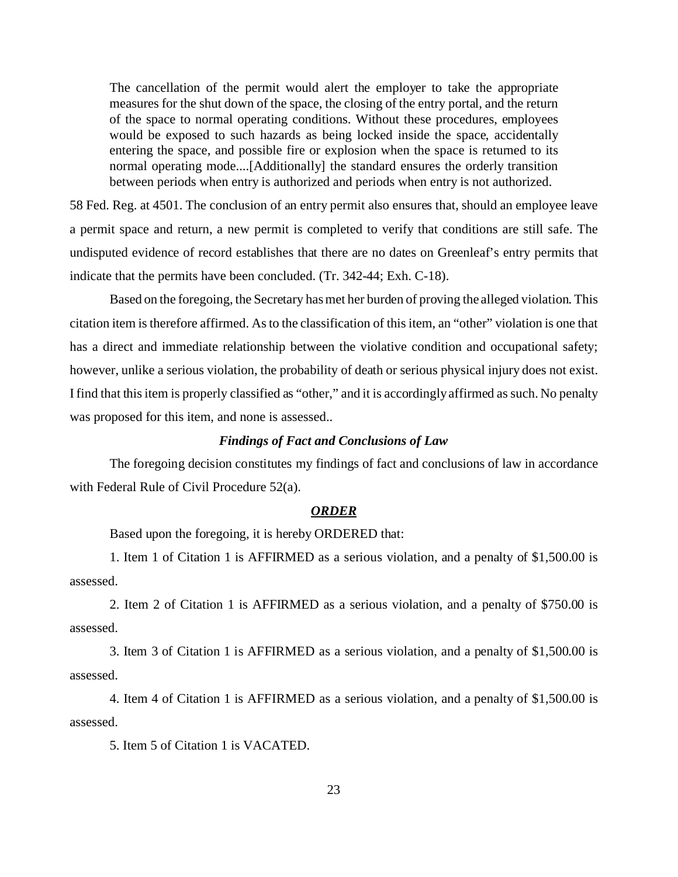The cancellation of the permit would alert the employer to take the appropriate measures for the shut down of the space, the closing of the entry portal, and the return of the space to normal operating conditions. Without these procedures, employees would be exposed to such hazards as being locked inside the space, accidentally entering the space, and possible fire or explosion when the space is returned to its normal operating mode....[Additionally] the standard ensures the orderly transition between periods when entry is authorized and periods when entry is not authorized.

58 Fed. Reg. at 4501. The conclusion of an entry permit also ensures that, should an employee leave a permit space and return, a new permit is completed to verify that conditions are still safe. The undisputed evidence of record establishes that there are no dates on Greenleaf's entry permits that indicate that the permits have been concluded. (Tr. 342-44; Exh. C-18).

Based on the foregoing, the Secretary has met her burden of proving the alleged violation. This citation item is therefore affirmed. As to the classification of this item, an "other" violation is one that has a direct and immediate relationship between the violative condition and occupational safety; however, unlike a serious violation, the probability of death or serious physical injury does not exist. I find that this item is properly classified as "other," and it is accordingly affirmed as such. No penalty was proposed for this item, and none is assessed..

#### *Findings of Fact and Conclusions of Law*

The foregoing decision constitutes my findings of fact and conclusions of law in accordance with Federal Rule of Civil Procedure 52(a).

#### *ORDER*

Based upon the foregoing, it is hereby ORDERED that:

1. Item 1 of Citation 1 is AFFIRMED as a serious violation, and a penalty of \$1,500.00 is assessed.

2. Item 2 of Citation 1 is AFFIRMED as a serious violation, and a penalty of \$750.00 is assessed.

3. Item 3 of Citation 1 is AFFIRMED as a serious violation, and a penalty of \$1,500.00 is assessed.

4. Item 4 of Citation 1 is AFFIRMED as a serious violation, and a penalty of \$1,500.00 is assessed.

5. Item 5 of Citation 1 is VACATED.